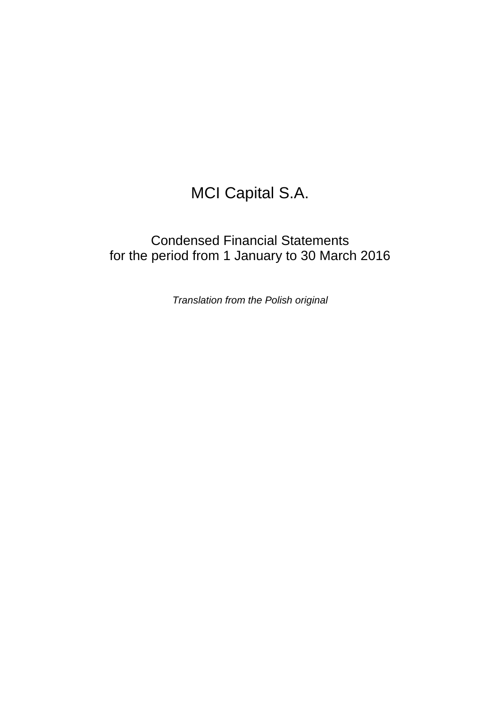# MCI Capital S.A.

## Condensed Financial Statements for the period from 1 January to 30 March 2016

Translation from the Polish original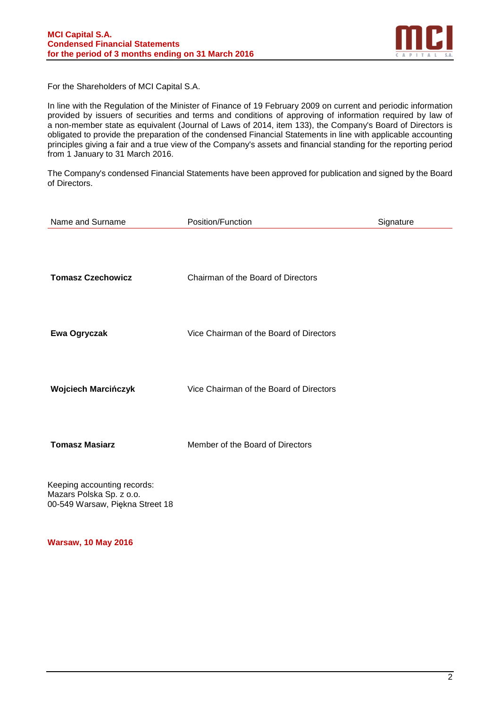

For the Shareholders of MCI Capital S.A.

In line with the Regulation of the Minister of Finance of 19 February 2009 on current and periodic information provided by issuers of securities and terms and conditions of approving of information required by law of a non-member state as equivalent (Journal of Laws of 2014, item 133), the Company's Board of Directors is obligated to provide the preparation of the condensed Financial Statements in line with applicable accounting principles giving a fair and a true view of the Company's assets and financial standing for the reporting period from 1 January to 31 March 2016.

The Company's condensed Financial Statements have been approved for publication and signed by the Board of Directors.

| Name and Surname            | Position/Function                       | Signature |
|-----------------------------|-----------------------------------------|-----------|
| <b>Tomasz Czechowicz</b>    | Chairman of the Board of Directors      |           |
| Ewa Ogryczak                | Vice Chairman of the Board of Directors |           |
| <b>Wojciech Marcińczyk</b>  | Vice Chairman of the Board of Directors |           |
| <b>Tomasz Masiarz</b>       | Member of the Board of Directors        |           |
| Keeping accounting records: |                                         |           |

Mazars Polska Sp. z o.o. 00-549 Warsaw, Piękna Street 18

**Warsaw, 10 May 2016**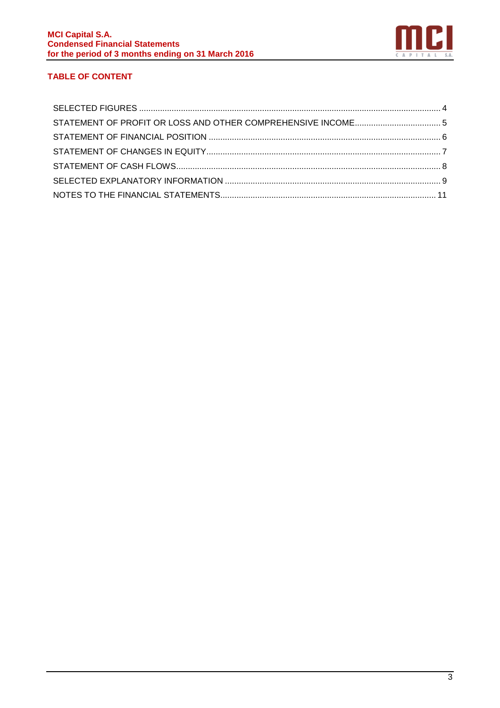

## **TABLE OF CONTENT**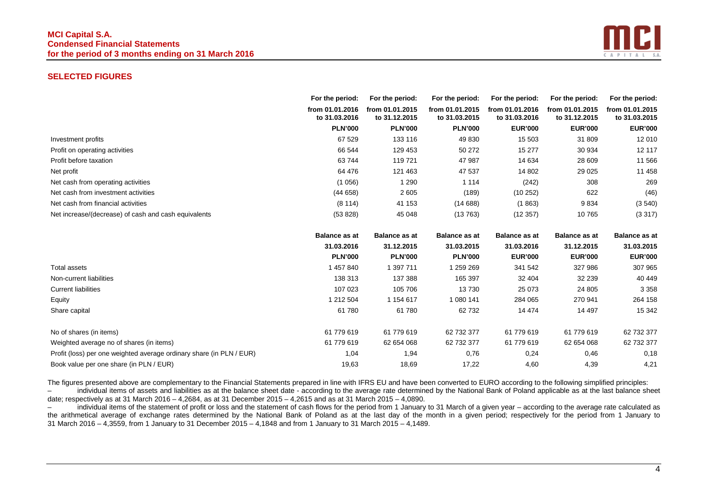## **MCI Capital S.A. Condensed Financial Statements for the period of 3 months ending on 31 March 2016**



#### **SELECTED FIGURES**

|                                                      | For the period:                  | For the period:                  | For the period:                  | For the period:                  | For the period:                  | For the period:                  |
|------------------------------------------------------|----------------------------------|----------------------------------|----------------------------------|----------------------------------|----------------------------------|----------------------------------|
|                                                      | from 01.01.2016<br>to 31,03,2016 | from 01.01.2015<br>to 31.12.2015 | from 01.01.2015<br>to 31,03,2015 | from 01.01.2016<br>to 31.03.2016 | from 01.01.2015<br>to 31.12.2015 | from 01.01.2015<br>to 31.03.2015 |
|                                                      | <b>PLN'000</b>                   | <b>PLN'000</b>                   | <b>PLN'000</b>                   | <b>EUR'000</b>                   | <b>EUR'000</b>                   | <b>EUR'000</b>                   |
| Investment profits                                   | 67 529                           | 133 116                          | 49 830                           | 15 503                           | 31 809                           | 12 010                           |
| Profit on operating activities                       | 66 544                           | 129 453                          | 50 272                           | 15 277                           | 30 934                           | 12 117                           |
| Profit before taxation                               | 63744                            | 119 721                          | 47 987                           | 14 634                           | 28 609                           | 11 566                           |
| Net profit                                           | 64 476                           | 121 463                          | 47 537                           | 14 802                           | 29 0 25                          | 11 458                           |
| Net cash from operating activities                   | (1056)                           | 1 290                            | 1 1 1 4                          | (242)                            | 308                              | 269                              |
| Net cash from investment activities                  | (44658)                          | 2 605                            | (189)                            | (10252)                          | 622                              | (46)                             |
| Net cash from financial activities                   | (8114)                           | 41 153                           | (14688)                          | (1863)                           | 9834                             | (3540)                           |
| Net increase/(decrease) of cash and cash equivalents | (53 828)                         | 45 048                           | (13763)                          | (12357)                          | 10765                            | (3317)                           |

|                                                                      | <b>Balance as at</b> | <b>Balance as at</b> | <b>Balance as at</b> | <b>Balance as at</b> | <b>Balance as at</b> | <b>Balance as at</b> |
|----------------------------------------------------------------------|----------------------|----------------------|----------------------|----------------------|----------------------|----------------------|
|                                                                      | 31.03.2016           | 31.12.2015           | 31.03.2015           | 31.03.2016           | 31.12.2015           | 31.03.2015           |
|                                                                      | <b>PLN'000</b>       | <b>PLN'000</b>       | <b>PLN'000</b>       | <b>EUR'000</b>       | <b>EUR'000</b>       | <b>EUR'000</b>       |
| Total assets                                                         | 1457840              | 1 397 711            | 1 259 269            | 341 542              | 327 986              | 307 965              |
| Non-current liabilities                                              | 138 313              | 137 388              | 165 397              | 32 404               | 32 239               | 40 449               |
| <b>Current liabilities</b>                                           | 107 023              | 105 706              | 13730                | 25 073               | 24 805               | 3 3 5 8              |
| Equity                                                               | 212 504              | 1 154 617            | 1 080 141            | 284 065              | 270 941              | 264 158              |
| Share capital                                                        | 61 780               | 61 780               | 62732                | 14 474               | 14 497               | 15 342               |
| No of shares (in items)                                              | 61 779 619           | 61 779 619           | 62 732 377           | 61 779 619           | 61 779 619           | 62 732 377           |
| Weighted average no of shares (in items)                             | 61 779 619           | 62 654 068           | 62 732 377           | 61 779 619           | 62 654 068           | 62 732 377           |
| Profit (loss) per one weighted average ordinary share (in PLN / EUR) | 1,04                 | 1,94                 | 0,76                 | 0,24                 | 0,46                 | 0,18                 |
| Book value per one share (in PLN / EUR)                              | 19,63                | 18,69                | 17,22                | 4,60                 | 4,39                 | 4,21                 |

The figures presented above are complementary to the Financial Statements prepared in line with IFRS EU and have been converted to EURO according to the following simplified principles:

 – individual items of assets and liabilities as at the balance sheet date - according to the average rate determined by the National Bank of Poland applicable as at the last balance sheet date; respectively as at 31 March 2016 – 4,2684, as at 31 December 2015 – 4,2615 and as at 31 March 2015 – 4,0890.

 – individual items of the statement of profit or loss and the statement of cash flows for the period from 1 January to 31 March of a given year – according to the average rate calculated as the arithmetical average of exchange rates determined by the National Bank of Poland as at the last day of the month in a given period; respectively for the period from 1 January to 31 March 2016 – 4,3559, from 1 January to 31 December 2015 – 4,1848 and from 1 January to 31 March 2015 – 4,1489.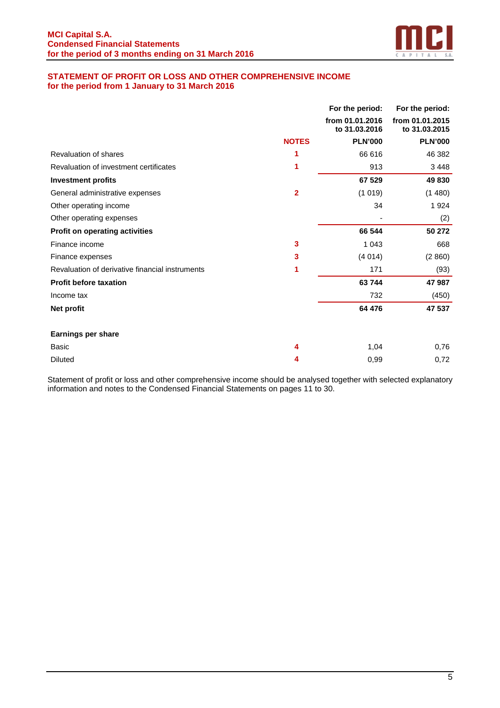

## **STATEMENT OF PROFIT OR LOSS AND OTHER COMPREHENSIVE INCOME for the period from 1 January to 31 March 2016**

|                                                 |              | For the period:                  | For the period:                  |
|-------------------------------------------------|--------------|----------------------------------|----------------------------------|
|                                                 |              | from 01.01.2016<br>to 31.03.2016 | from 01.01.2015<br>to 31,03,2015 |
|                                                 | <b>NOTES</b> | <b>PLN'000</b>                   | <b>PLN'000</b>                   |
| Revaluation of shares                           |              | 66 616                           | 46 382                           |
| Revaluation of investment certificates          | 1            | 913                              | 3 4 4 8                          |
| <b>Investment profits</b>                       |              | 67 529                           | 49 830                           |
| General administrative expenses                 | 2            | (1019)                           | (1480)                           |
| Other operating income                          |              | 34                               | 1924                             |
| Other operating expenses                        |              |                                  | (2)                              |
| <b>Profit on operating activities</b>           |              | 66 544                           | 50 272                           |
| Finance income                                  | 3            | 1 0 4 3                          | 668                              |
| Finance expenses                                | 3            | (4014)                           | (2860)                           |
| Revaluation of derivative financial instruments | 1            | 171                              | (93)                             |
| <b>Profit before taxation</b>                   |              | 63744                            | 47 987                           |
| Income tax                                      |              | 732                              | (450)                            |
| Net profit                                      |              | 64 476                           | 47 537                           |
| <b>Earnings per share</b>                       |              |                                  |                                  |
| <b>Basic</b>                                    | 4            | 1,04                             | 0,76                             |
| <b>Diluted</b>                                  | 4            | 0,99                             | 0,72                             |

Statement of profit or loss and other comprehensive income should be analysed together with selected explanatory information and notes to the Condensed Financial Statements on pages 11 to 30.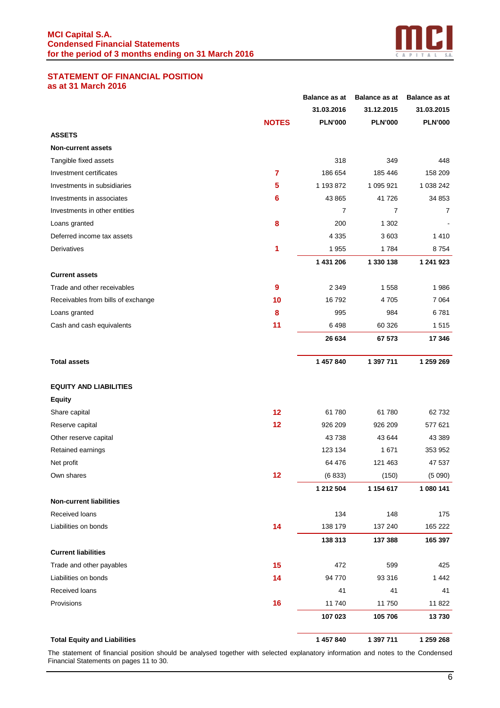

#### **STATEMENT OF FINANCIAL POSITION as at 31 March 2016**

|                                     |              | <b>Balance as at</b> | <b>Balance as at</b> | <b>Balance as at</b> |
|-------------------------------------|--------------|----------------------|----------------------|----------------------|
|                                     |              | 31.03.2016           | 31.12.2015           | 31.03.2015           |
|                                     | <b>NOTES</b> | <b>PLN'000</b>       | <b>PLN'000</b>       | <b>PLN'000</b>       |
| <b>ASSETS</b>                       |              |                      |                      |                      |
| <b>Non-current assets</b>           |              |                      |                      |                      |
| Tangible fixed assets               |              | 318                  | 349                  | 448                  |
| Investment certificates             | 7            | 186 654              | 185 446              | 158 209              |
| Investments in subsidiaries         | 5            | 1 193 872            | 1 095 921            | 1 038 242            |
| Investments in associates           | 6            | 43 865               | 41 726               | 34 853               |
| Investments in other entities       |              | 7                    | 7                    | 7                    |
| Loans granted                       | 8            | 200                  | 1 302                |                      |
| Deferred income tax assets          |              | 4 3 3 5              | 3603                 | 1410                 |
| Derivatives                         | 1            | 1955                 | 1784                 | 8754                 |
|                                     |              | 1 431 206            | 1 330 138            | 1 241 923            |
| <b>Current assets</b>               |              |                      |                      |                      |
| Trade and other receivables         | 9            | 2 3 4 9              | 1 558                | 1986                 |
| Receivables from bills of exchange  | 10           | 16792                | 4705                 | 7064                 |
| Loans granted                       | 8            | 995                  | 984                  | 6781                 |
| Cash and cash equivalents           | 11           | 6498                 | 60 326               | 1515                 |
|                                     |              | 26 634               | 67 573               | 17 346               |
| <b>Total assets</b>                 |              | 1 457 840            | 1 397 711            | 1 259 269            |
| <b>EQUITY AND LIABILITIES</b>       |              |                      |                      |                      |
| <b>Equity</b>                       |              |                      |                      |                      |
| Share capital                       | 12           | 61780                | 61780                | 62732                |
| Reserve capital                     | 12           | 926 209              | 926 209              | 577 621              |
| Other reserve capital               |              | 43738                | 43 644               | 43 389               |
| Retained earnings                   |              | 123 134              | 1 671                | 353 952              |
| Net profit                          |              | 64 476               | 121 463              | 47 537               |
| Own shares                          | 12           | (6833)               | (150)                | (5090)               |
|                                     |              | 1 212 504            | 1 154 617            | 1 080 141            |
| <b>Non-current liabilities</b>      |              |                      |                      |                      |
| Received loans                      |              | 134                  | 148                  | 175                  |
| Liabilities on bonds                | 14           | 138 179              | 137 240              | 165 222              |
|                                     |              | 138 313              | 137 388              | 165 397              |
| <b>Current liabilities</b>          |              |                      |                      |                      |
| Trade and other payables            | 15           | 472                  | 599                  | 425                  |
| Liabilities on bonds                | 14           | 94 770               | 93 316               | 1442                 |
| Received loans                      |              | 41                   | 41                   | 41                   |
| Provisions                          | 16           | 11740                | 11 750               | 11822                |
|                                     |              | 107 023              | 105 706              | 13730                |
| <b>Total Equity and Liabilities</b> |              | 1 457 840            | 1 397 711            | 1 259 268            |

The statement of financial position should be analysed together with selected explanatory information and notes to the Condensed Financial Statements on pages 11 to 30.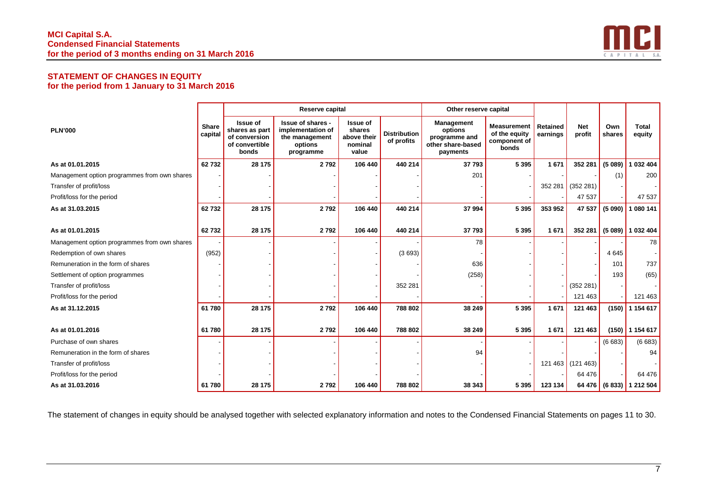

## **STATEMENT OF CHANGES IN EQUITY for the period from 1 January to 31 March 2016**

|                                              |                         |                                                                        | Reserve capital                                                                  |                                                              |                                   | Other reserve capital                                                          |                                                              |                      |                      |               |                          |
|----------------------------------------------|-------------------------|------------------------------------------------------------------------|----------------------------------------------------------------------------------|--------------------------------------------------------------|-----------------------------------|--------------------------------------------------------------------------------|--------------------------------------------------------------|----------------------|----------------------|---------------|--------------------------|
| <b>PLN'000</b>                               | <b>Share</b><br>capital | Issue of<br>shares as part<br>of conversion<br>of convertible<br>bonds | Issue of shares -<br>implementation of<br>the management<br>options<br>programme | <b>Issue of</b><br>shares<br>above their<br>nominal<br>value | <b>Distribution</b><br>of profits | <b>Management</b><br>options<br>programme and<br>other share-based<br>payments | <b>Measurement</b><br>of the equity<br>component of<br>bonds | Retained<br>earnings | <b>Net</b><br>profit | Own<br>shares | <b>Total</b><br>equity   |
| As at 01.01.2015                             | 62732                   | 28 175                                                                 | 2792                                                                             | 106 440                                                      | 440 214                           | 37793                                                                          | 5 3 9 5                                                      | 1671                 | 352 281              | (5089)        | 032 404                  |
| Management option programmes from own shares |                         |                                                                        |                                                                                  |                                                              |                                   | 201                                                                            |                                                              |                      |                      | (1)           | 200                      |
| Transfer of profit/loss                      |                         |                                                                        |                                                                                  |                                                              |                                   |                                                                                |                                                              | 352 281              | (352281)             |               |                          |
| Profit/loss for the period                   |                         |                                                                        |                                                                                  |                                                              |                                   |                                                                                |                                                              |                      | 47 537               |               | 47 537                   |
| As at 31.03.2015                             | 62732                   | 28 175                                                                 | 2792                                                                             | 106 440                                                      | 440 214                           | 37 994                                                                         | 5 3 9 5                                                      | 353 952              | 47 537               | (5090)        | 080 141                  |
|                                              |                         |                                                                        |                                                                                  |                                                              |                                   |                                                                                |                                                              |                      |                      |               |                          |
| As at 01.01.2015                             | 62732                   | 28 175                                                                 | 2792                                                                             | 106 440                                                      | 440 214                           | 37 793                                                                         | 5 3 9 5                                                      | 1 671                | 352 281              |               | $(5089)$ 1032404         |
| Management option programmes from own shares |                         |                                                                        |                                                                                  |                                                              |                                   | 78                                                                             |                                                              |                      |                      |               | 78                       |
| Redemption of own shares                     | (952)                   |                                                                        |                                                                                  |                                                              | (3693)                            |                                                                                |                                                              |                      |                      | 4 6 4 5       |                          |
| Remuneration in the form of shares           |                         |                                                                        |                                                                                  |                                                              |                                   | 636                                                                            |                                                              |                      |                      | 101           | 737                      |
| Settlement of option programmes              |                         |                                                                        |                                                                                  |                                                              |                                   | (258)                                                                          |                                                              |                      |                      | 193           | (65)                     |
| Transfer of profit/loss                      |                         |                                                                        |                                                                                  |                                                              | 352 281                           |                                                                                |                                                              |                      | (352 281)            |               |                          |
| Profit/loss for the period                   |                         |                                                                        |                                                                                  |                                                              |                                   |                                                                                |                                                              |                      | 121 463              |               | 121 463                  |
| As at 31.12.2015                             | 61780                   | 28 175                                                                 | 2792                                                                             | 106 440                                                      | 788 802                           | 38 249                                                                         | 5 3 9 5                                                      | 1671                 | 121 463              | (150)         | 1 154 617                |
| As at 01.01.2016                             | 61 780                  | 28 175                                                                 | 2792                                                                             | 106 440                                                      | 788 802                           | 38 249                                                                         | 5 3 9 5                                                      | 1 671                | 121 463              |               | $(150)$   1 154 617      |
| Purchase of own shares                       |                         |                                                                        |                                                                                  |                                                              |                                   |                                                                                |                                                              |                      |                      | (6683)        | (6683)                   |
| Remuneration in the form of shares           |                         |                                                                        |                                                                                  |                                                              |                                   | 94                                                                             |                                                              |                      |                      |               | 94                       |
| Transfer of profit/loss                      |                         |                                                                        |                                                                                  |                                                              |                                   |                                                                                |                                                              |                      | 121 463 (121 463)    |               |                          |
| Profit/loss for the period                   |                         |                                                                        |                                                                                  |                                                              |                                   |                                                                                |                                                              |                      | 64 476               |               | 64 476                   |
| As at 31.03.2016                             | 61780                   | 28 175                                                                 | 2792                                                                             | 106 440                                                      | 788 802                           | 38 343                                                                         | 5 3 9 5                                                      | 123 134              |                      |               | 64 476 (6 833) 1 212 504 |

The statement of changes in equity should be analysed together with selected explanatory information and notes to the Condensed Financial Statements on pages 11 to 30.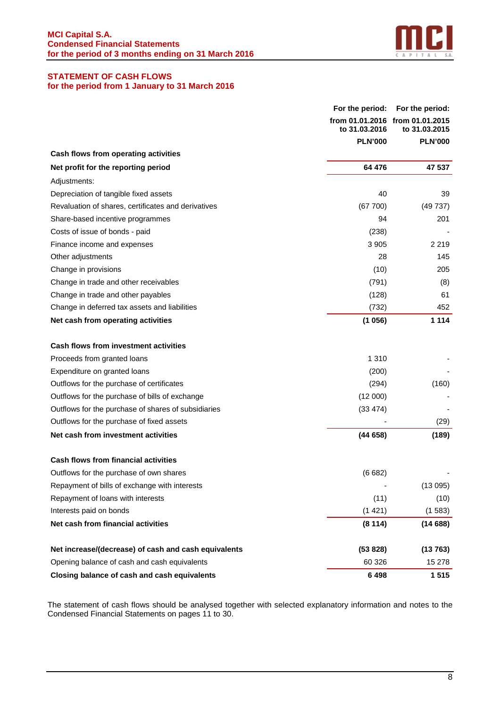

## **STATEMENT OF CASH FLOWS for the period from 1 January to 31 March 2016**

|                                                      | For the period: | For the period:                                  |
|------------------------------------------------------|-----------------|--------------------------------------------------|
|                                                      | to 31.03.2016   | from 01.01.2016 from 01.01.2015<br>to 31.03.2015 |
|                                                      | <b>PLN'000</b>  | <b>PLN'000</b>                                   |
| Cash flows from operating activities                 |                 |                                                  |
| Net profit for the reporting period                  | 64 476          | 47 537                                           |
| Adjustments:                                         |                 |                                                  |
| Depreciation of tangible fixed assets                | 40              | 39                                               |
| Revaluation of shares, certificates and derivatives  | (67700)         | (49737)                                          |
| Share-based incentive programmes                     | 94              | 201                                              |
| Costs of issue of bonds - paid                       | (238)           |                                                  |
| Finance income and expenses                          | 3 9 0 5         | 2 2 1 9                                          |
| Other adjustments                                    | 28              | 145                                              |
| Change in provisions                                 | (10)            | 205                                              |
| Change in trade and other receivables                | (791)           | (8)                                              |
| Change in trade and other payables                   | (128)           | 61                                               |
| Change in deferred tax assets and liabilities        | (732)           | 452                                              |
| Net cash from operating activities                   | (1056)          | 1 1 1 4                                          |
| <b>Cash flows from investment activities</b>         |                 |                                                  |
| Proceeds from granted loans                          | 1 3 1 0         |                                                  |
| Expenditure on granted loans                         | (200)           |                                                  |
| Outflows for the purchase of certificates            | (294)           | (160)                                            |
| Outflows for the purchase of bills of exchange       | (12000)         |                                                  |
| Outflows for the purchase of shares of subsidiaries  | (33 474)        |                                                  |
| Outflows for the purchase of fixed assets            |                 | (29)                                             |
| Net cash from investment activities                  | (44658)         | (189)                                            |
| <b>Cash flows from financial activities</b>          |                 |                                                  |
| Outflows for the purchase of own shares              | (6682)          |                                                  |
| Repayment of bills of exchange with interests        |                 | (13095)                                          |
| Repayment of loans with interests                    | (11)            | (10)                                             |
| Interests paid on bonds                              | (1421)          | (1583)                                           |
| Net cash from financial activities                   | (8114)          | (14688)                                          |
| Net increase/(decrease) of cash and cash equivalents | (53 828)        | (13763)                                          |
| Opening balance of cash and cash equivalents         | 60 326          | 15 278                                           |
| Closing balance of cash and cash equivalents         | 6498            | 1 515                                            |

The statement of cash flows should be analysed together with selected explanatory information and notes to the Condensed Financial Statements on pages 11 to 30.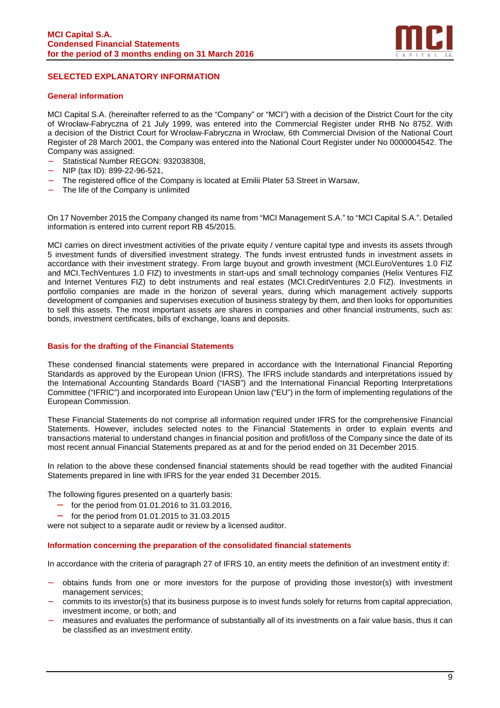

## **SELECTED EXPLANATORY INFORMATION**

#### **General information**

MCI Capital S.A. (hereinafter referred to as the "Company" or "MCI") with a decision of the District Court for the city of Wrocław-Fabryczna of 21 July 1999, was entered into the Commercial Register under RHB No 8752. With a decision of the District Court for Wrocław-Fabryczna in Wrocław, 6th Commercial Division of the National Court Register of 28 March 2001, the Company was entered into the National Court Register under No 0000004542. The Company was assigned:

- − Statistical Number REGON: 932038308,
- − NIP (tax ID): 899-22-96-521,
- The registered office of the Company is located at Emilii Plater 53 Street in Warsaw,
- The life of the Company is unlimited

On 17 November 2015 the Company changed its name from "MCI Management S.A." to "MCI Capital S.A.". Detailed information is entered into current report RB 45/2015.

MCI carries on direct investment activities of the private equity / venture capital type and invests its assets through 5 investment funds of diversified investment strategy. The funds invest entrusted funds in investment assets in accordance with their investment strategy. From large buyout and growth investment (MCI.EuroVentures 1.0 FIZ and MCI.TechVentures 1.0 FIZ) to investments in start-ups and small technology companies (Helix Ventures FIZ and Internet Ventures FIZ) to debt instruments and real estates (MCI.CreditVentures 2.0 FIZ). Investments in portfolio companies are made in the horizon of several years, during which management actively supports development of companies and supervises execution of business strategy by them, and then looks for opportunities to sell this assets. The most important assets are shares in companies and other financial instruments, such as: bonds, investment certificates, bills of exchange, loans and deposits.

#### **Basis for the drafting of the Financial Statements**

These condensed financial statements were prepared in accordance with the International Financial Reporting Standards as approved by the European Union (IFRS). The IFRS include standards and interpretations issued by the International Accounting Standards Board ("IASB") and the International Financial Reporting Interpretations Committee ("IFRIC") and incorporated into European Union law ("EU") in the form of implementing regulations of the European Commission.

These Financial Statements do not comprise all information required under IFRS for the comprehensive Financial Statements. However, includes selected notes to the Financial Statements in order to explain events and transactions material to understand changes in financial position and profit/loss of the Company since the date of its most recent annual Financial Statements prepared as at and for the period ended on 31 December 2015.

In relation to the above these condensed financial statements should be read together with the audited Financial Statements prepared in line with IFRS for the year ended 31 December 2015.

The following figures presented on a quarterly basis:

- for the period from 01.01.2016 to 31.03.2016,
- for the period from 01.01.2015 to 31.03.2015

were not subject to a separate audit or review by a licensed auditor.

#### **Information concerning the preparation of the consolidated financial statements**

In accordance with the criteria of paragraph 27 of IFRS 10, an entity meets the definition of an investment entity if:

- − obtains funds from one or more investors for the purpose of providing those investor(s) with investment management services;
- commits to its investor(s) that its business purpose is to invest funds solely for returns from capital appreciation, investment income, or both; and
- measures and evaluates the performance of substantially all of its investments on a fair value basis, thus it can be classified as an investment entity.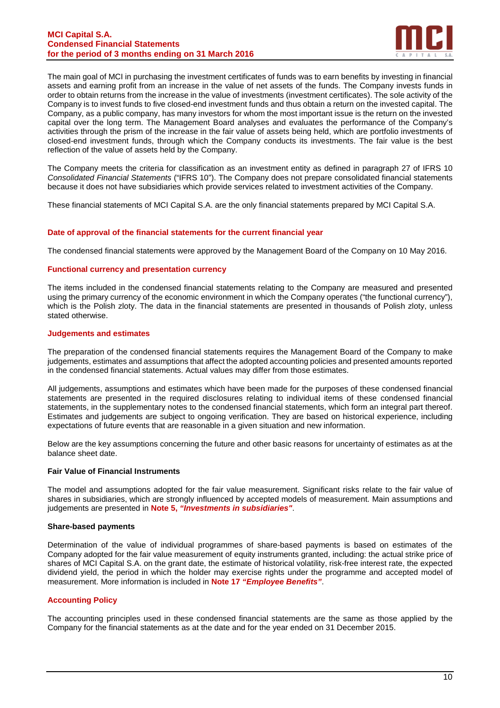#### **MCI Capital S.A. Condensed Financial Statements for the period of 3 months ending on 31 March 2016**



The main goal of MCI in purchasing the investment certificates of funds was to earn benefits by investing in financial assets and earning profit from an increase in the value of net assets of the funds. The Company invests funds in order to obtain returns from the increase in the value of investments (investment certificates). The sole activity of the Company is to invest funds to five closed-end investment funds and thus obtain a return on the invested capital. The Company, as a public company, has many investors for whom the most important issue is the return on the invested capital over the long term. The Management Board analyses and evaluates the performance of the Company's activities through the prism of the increase in the fair value of assets being held, which are portfolio investments of closed-end investment funds, through which the Company conducts its investments. The fair value is the best reflection of the value of assets held by the Company.

The Company meets the criteria for classification as an investment entity as defined in paragraph 27 of IFRS 10 Consolidated Financial Statements ("IFRS 10"). The Company does not prepare consolidated financial statements because it does not have subsidiaries which provide services related to investment activities of the Company.

These financial statements of MCI Capital S.A. are the only financial statements prepared by MCI Capital S.A.

#### **Date of approval of the financial statements for the current financial year**

The condensed financial statements were approved by the Management Board of the Company on 10 May 2016.

#### **Functional currency and presentation currency**

The items included in the condensed financial statements relating to the Company are measured and presented using the primary currency of the economic environment in which the Company operates ("the functional currency"), which is the Polish zloty. The data in the financial statements are presented in thousands of Polish zloty, unless stated otherwise.

#### **Judgements and estimates**

The preparation of the condensed financial statements requires the Management Board of the Company to make judgements, estimates and assumptions that affect the adopted accounting policies and presented amounts reported in the condensed financial statements. Actual values may differ from those estimates.

All judgements, assumptions and estimates which have been made for the purposes of these condensed financial statements are presented in the required disclosures relating to individual items of these condensed financial statements, in the supplementary notes to the condensed financial statements, which form an integral part thereof. Estimates and judgements are subject to ongoing verification. They are based on historical experience, including expectations of future events that are reasonable in a given situation and new information.

Below are the key assumptions concerning the future and other basic reasons for uncertainty of estimates as at the balance sheet date.

#### **Fair Value of Financial Instruments**

The model and assumptions adopted for the fair value measurement. Significant risks relate to the fair value of shares in subsidiaries, which are strongly influenced by accepted models of measurement. Main assumptions and judgements are presented in **Note 5, "Investments in subsidiaries"**.

#### **Share-based payments**

Determination of the value of individual programmes of share-based payments is based on estimates of the Company adopted for the fair value measurement of equity instruments granted, including: the actual strike price of shares of MCI Capital S.A. on the grant date, the estimate of historical volatility, risk-free interest rate, the expected dividend yield, the period in which the holder may exercise rights under the programme and accepted model of measurement. More information is included in **Note 17 "Employee Benefits"**.

#### **Accounting Policy**

The accounting principles used in these condensed financial statements are the same as those applied by the Company for the financial statements as at the date and for the year ended on 31 December 2015.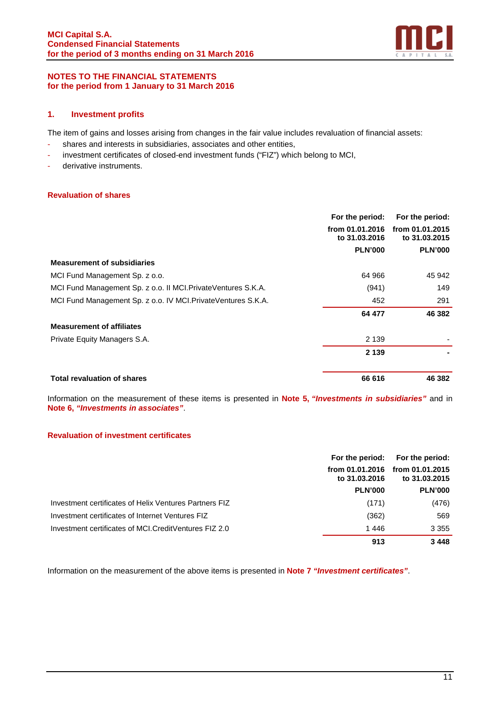

## **NOTES TO THE FINANCIAL STATEMENTS for the period from 1 January to 31 March 2016**

## **1. Investment profits**

The item of gains and losses arising from changes in the fair value includes revaluation of financial assets:

- shares and interests in subsidiaries, associates and other entities,
- investment certificates of closed-end investment funds ("FIZ") which belong to MCI,
- derivative instruments.

## **Revaluation of shares**

|                                                                | For the period:                  | For the period:                  |
|----------------------------------------------------------------|----------------------------------|----------------------------------|
|                                                                | from 01.01.2016<br>to 31.03.2016 | from 01.01.2015<br>to 31,03,2015 |
|                                                                | <b>PLN'000</b>                   | <b>PLN'000</b>                   |
| <b>Measurement of subsidiaries</b>                             |                                  |                                  |
| MCI Fund Management Sp. z o.o.                                 | 64 966                           | 45 942                           |
| MCI Fund Management Sp. z o.o. II MCI. Private Ventures S.K.A. | (941)                            | 149                              |
| MCI Fund Management Sp. z o.o. IV MCI. Private Ventures S.K.A. | 452                              | 291                              |
|                                                                | 64 477                           | 46 382                           |
| <b>Measurement of affiliates</b>                               |                                  |                                  |
| Private Equity Managers S.A.                                   | 2 1 3 9                          |                                  |
|                                                                | 2 1 3 9                          |                                  |
| <b>Total revaluation of shares</b>                             | 66 616                           | 46 382                           |

Information on the measurement of these items is presented in **Note 5, "Investments in subsidiaries"** and in **Note 6, "Investments in associates"**.

#### **Revaluation of investment certificates**

|                                                        |                                  | For the period: For the period:  |
|--------------------------------------------------------|----------------------------------|----------------------------------|
|                                                        | from 01.01.2016<br>to 31,03,2016 | from 01.01.2015<br>to 31,03,2015 |
|                                                        | <b>PLN'000</b>                   | <b>PLN'000</b>                   |
| Investment certificates of Helix Ventures Partners FIZ | (171)                            | (476)                            |
| Investment certificates of Internet Ventures FIZ       | (362)                            | 569                              |
| Investment certificates of MCI.CreditVentures FIZ 2.0  | 1446                             | 3 3 5 5                          |
|                                                        | 913                              | 3448                             |

Information on the measurement of the above items is presented in **Note 7 "Investment certificates"**.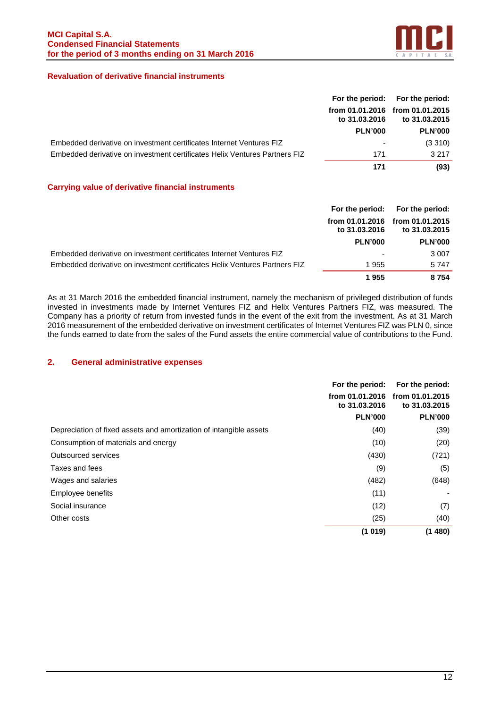

## **Revaluation of derivative financial instruments**

|                                                                            |                | For the period: For the period:                  |
|----------------------------------------------------------------------------|----------------|--------------------------------------------------|
|                                                                            | to 31.03.2016  | from 01.01.2016 from 01.01.2015<br>to 31.03.2015 |
|                                                                            | <b>PLN'000</b> | <b>PLN'000</b>                                   |
| Embedded derivative on investment certificates Internet Ventures FIZ       |                | (3310)                                           |
| Embedded derivative on investment certificates Helix Ventures Partners FIZ | 171            | 3.217                                            |
|                                                                            | 171            | (93)                                             |

#### **Carrying value of derivative financial instruments**

|                                                                            |                | For the period: For the period:                  |
|----------------------------------------------------------------------------|----------------|--------------------------------------------------|
|                                                                            | to 31.03.2016  | from 01.01.2016 from 01.01.2015<br>to 31.03.2015 |
|                                                                            | <b>PLN'000</b> | <b>PLN'000</b>                                   |
| Embedded derivative on investment certificates Internet Ventures FIZ       |                | 3 0 0 7                                          |
| Embedded derivative on investment certificates Helix Ventures Partners FIZ | 1955           | 5747                                             |
|                                                                            | 1955           | 8754                                             |

As at 31 March 2016 the embedded financial instrument, namely the mechanism of privileged distribution of funds invested in investments made by Internet Ventures FIZ and Helix Ventures Partners FIZ, was measured. The Company has a priority of return from invested funds in the event of the exit from the investment. As at 31 March 2016 measurement of the embedded derivative on investment certificates of Internet Ventures FIZ was PLN 0, since the funds earned to date from the sales of the Fund assets the entire commercial value of contributions to the Fund.

## **2. General administrative expenses**

|                                                                    | For the period:                  | For the period:                  |
|--------------------------------------------------------------------|----------------------------------|----------------------------------|
|                                                                    | from 01.01.2016<br>to 31,03,2016 | from 01.01.2015<br>to 31,03,2015 |
|                                                                    | <b>PLN'000</b>                   | <b>PLN'000</b>                   |
| Depreciation of fixed assets and amortization of intangible assets | (40)                             | (39)                             |
| Consumption of materials and energy                                | (10)                             | (20)                             |
| Outsourced services                                                | (430)                            | (721)                            |
| Taxes and fees                                                     | (9)                              | (5)                              |
| Wages and salaries                                                 | (482)                            | (648)                            |
| Employee benefits                                                  | (11)                             |                                  |
| Social insurance                                                   | (12)                             | (7)                              |
| Other costs                                                        | (25)                             | (40)                             |
|                                                                    | (1019)                           | (1480)                           |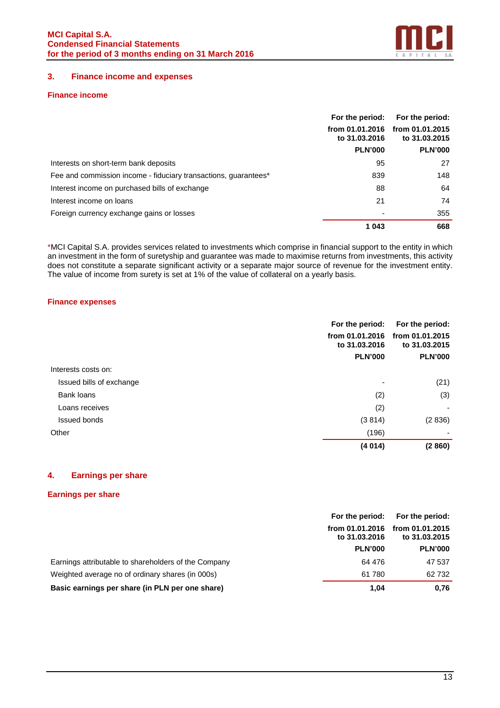

## **3. Finance income and expenses**

## **Finance income**

|                                                                 | For the period:                  | For the period:                  |  |
|-----------------------------------------------------------------|----------------------------------|----------------------------------|--|
|                                                                 | from 01.01.2016<br>to 31.03.2016 | from 01.01.2015<br>to 31,03,2015 |  |
|                                                                 | <b>PLN'000</b>                   | <b>PLN'000</b>                   |  |
| Interests on short-term bank deposits                           | 95                               | 27                               |  |
| Fee and commission income - fiduciary transactions, quarantees* | 839                              | 148                              |  |
| Interest income on purchased bills of exchange                  | 88                               | 64                               |  |
| Interest income on loans                                        | 21                               | 74                               |  |
| Foreign currency exchange gains or losses                       |                                  | 355                              |  |
|                                                                 | 1 043                            | 668                              |  |

\*MCI Capital S.A. provides services related to investments which comprise in financial support to the entity in which an investment in the form of suretyship and guarantee was made to maximise returns from investments, this activity does not constitute a separate significant activity or a separate major source of revenue for the investment entity. The value of income from surety is set at 1% of the value of collateral on a yearly basis.

#### **Finance expenses**

|                          | For the period:                  | For the period:                  |
|--------------------------|----------------------------------|----------------------------------|
|                          | from 01.01.2016<br>to 31,03,2016 | from 01.01.2015<br>to 31,03,2015 |
|                          | <b>PLN'000</b>                   | <b>PLN'000</b>                   |
| Interests costs on:      |                                  |                                  |
| Issued bills of exchange |                                  | (21)                             |
| Bank loans               | (2)                              | (3)                              |
| Loans receives           | (2)                              |                                  |
| <b>Issued bonds</b>      | (3814)                           | (2836)                           |
| Other                    | (196)                            |                                  |
|                          | (4014)                           | (2860)                           |

## **4. Earnings per share**

## **Earnings per share**

|                                                      | For the period:                  | For the period:                  |
|------------------------------------------------------|----------------------------------|----------------------------------|
|                                                      | from 01.01.2016<br>to 31,03,2016 | from 01.01.2015<br>to 31,03,2015 |
|                                                      | <b>PLN'000</b>                   | <b>PLN'000</b>                   |
| Earnings attributable to shareholders of the Company | 64 476                           | 47 537                           |
| Weighted average no of ordinary shares (in 000s)     | 61 780                           | 62 732                           |
| Basic earnings per share (in PLN per one share)      | 1.04                             | 0,76                             |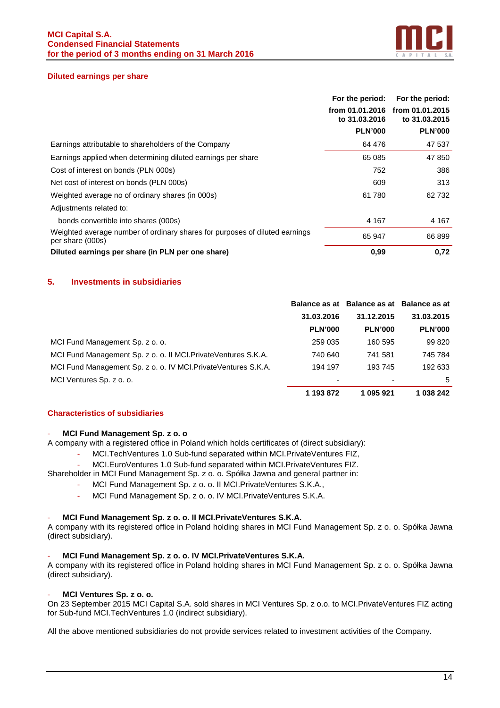

#### **Diluted earnings per share**

|                                                                                                 | For the period:                  | For the period:                  |
|-------------------------------------------------------------------------------------------------|----------------------------------|----------------------------------|
|                                                                                                 | from 01.01.2016<br>to 31,03,2016 | from 01.01.2015<br>to 31,03,2015 |
|                                                                                                 | <b>PLN'000</b>                   | <b>PLN'000</b>                   |
| Earnings attributable to shareholders of the Company                                            | 64 476                           | 47 537                           |
| Earnings applied when determining diluted earnings per share                                    | 65 085                           | 47 850                           |
| Cost of interest on bonds (PLN 000s)                                                            | 752                              | 386                              |
| Net cost of interest on bonds (PLN 000s)                                                        | 609                              | 313                              |
| Weighted average no of ordinary shares (in 000s)                                                | 61780                            | 62 732                           |
| Adjustments related to:                                                                         |                                  |                                  |
| bonds convertible into shares (000s)                                                            | 4 1 6 7                          | 4 1 6 7                          |
| Weighted average number of ordinary shares for purposes of diluted earnings<br>per share (000s) | 65 947                           | 66 899                           |
| Diluted earnings per share (in PLN per one share)                                               | 0,99                             | 0,72                             |

## **5. Investments in subsidiaries**

|                                                                 |                | Balance as at Balance as at Balance as at |                |
|-----------------------------------------------------------------|----------------|-------------------------------------------|----------------|
|                                                                 | 31.03.2016     | 31.12.2015                                | 31.03.2015     |
|                                                                 | <b>PLN'000</b> | <b>PLN'000</b>                            | <b>PLN'000</b> |
| MCI Fund Management Sp. z o. o.                                 | 259 035        | 160 595                                   | 99 820         |
| MCI Fund Management Sp. z o. o. II MCI. Private Ventures S.K.A. | 740 640        | 741 581                                   | 745 784        |
| MCI Fund Management Sp. z o. o. IV MCI. Private Ventures S.K.A. | 194 197        | 193 745                                   | 192 633        |
| MCI Ventures Sp. z o. o.                                        | ٠              |                                           | .5             |
|                                                                 | 1 193 872      | 1 095 921                                 | 1 038 242      |

#### **Characteristics of subsidiaries**

#### - **MCI Fund Management Sp. z o. o**

A company with a registered office in Poland which holds certificates of (direct subsidiary):

- MCI.TechVentures 1.0 Sub-fund separated within MCI.PrivateVentures FIZ,
- MCI.EuroVentures 1.0 Sub-fund separated within MCI.PrivateVentures FIZ.

Shareholder in MCI Fund Management Sp. z o. o. Spółka Jawna and general partner in:

- MCI Fund Management Sp. z o. o. II MCI.PrivateVentures S.K.A.,
- MCI Fund Management Sp. z o. o. IV MCI.PrivateVentures S.K.A.

#### - **MCI Fund Management Sp. z o. o. II MCI.PrivateVentures S.K.A.**

A company with its registered office in Poland holding shares in MCI Fund Management Sp. z o. o. Spółka Jawna (direct subsidiary).

#### - **MCI Fund Management Sp. z o. o. IV MCI.PrivateVentures S.K.A.**

A company with its registered office in Poland holding shares in MCI Fund Management Sp. z o. o. Spółka Jawna (direct subsidiary).

#### - **MCI Ventures Sp. z o. o.**

On 23 September 2015 MCI Capital S.A. sold shares in MCI Ventures Sp. z o.o. to MCI.PrivateVentures FIZ acting for Sub-fund MCI.TechVentures 1.0 (indirect subsidiary).

All the above mentioned subsidiaries do not provide services related to investment activities of the Company.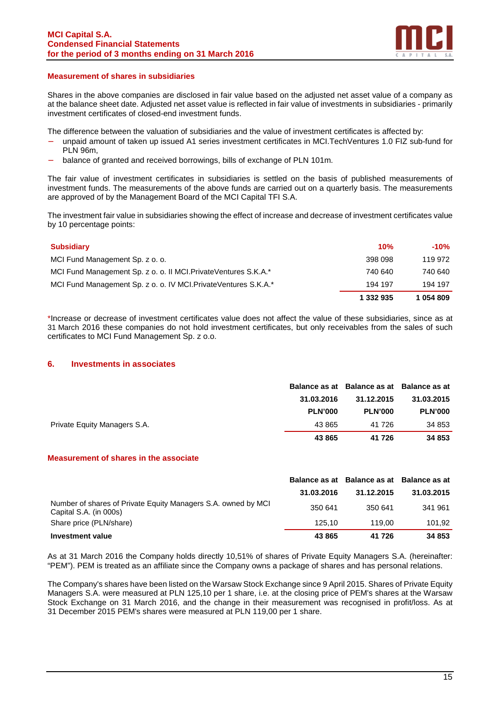

#### **Measurement of shares in subsidiaries**

Shares in the above companies are disclosed in fair value based on the adjusted net asset value of a company as at the balance sheet date. Adjusted net asset value is reflected in fair value of investments in subsidiaries - primarily investment certificates of closed-end investment funds.

The difference between the valuation of subsidiaries and the value of investment certificates is affected by:

- unpaid amount of taken up issued A1 series investment certificates in MCI.TechVentures 1.0 FIZ sub-fund for PLN 96m,
- balance of granted and received borrowings, bills of exchange of PLN 101m.

The fair value of investment certificates in subsidiaries is settled on the basis of published measurements of investment funds. The measurements of the above funds are carried out on a quarterly basis. The measurements are approved of by the Management Board of the MCI Capital TFI S.A.

The investment fair value in subsidiaries showing the effect of increase and decrease of investment certificates value by 10 percentage points:

| <b>Subsidiary</b>                                               | 10%       | -10%      |
|-----------------------------------------------------------------|-----------|-----------|
| MCI Fund Management Sp. z o. o.                                 | 398 098   | 119 972   |
| MCI Fund Management Sp. z o. o. II MCI PrivateVentures S.K.A.*  | 740 640   | 740 640   |
| MCI Fund Management Sp. z o. o. IV MCI Private Ventures S.K.A.* | 194 197   | 194 197   |
|                                                                 | 1 332 935 | 1 054 809 |

\*Increase or decrease of investment certificates value does not affect the value of these subsidiaries, since as at 31 March 2016 these companies do not hold investment certificates, but only receivables from the sales of such certificates to MCI Fund Management Sp. z o.o.

#### **6. Investments in associates**

|                              |                | Balance as at Balance as at Balance as at |                |
|------------------------------|----------------|-------------------------------------------|----------------|
|                              | 31.03.2016     | 31.12.2015                                | 31.03.2015     |
|                              | <b>PLN'000</b> | <b>PLN'000</b>                            | <b>PLN'000</b> |
| Private Equity Managers S.A. | 43 865         | 41 726                                    | 34 853         |
|                              | 43 865         | 41 726                                    | 34 853         |

## **Measurement of shares in the associate**

|                                                                                         |            | Balance as at Balance as at Balance as at |            |
|-----------------------------------------------------------------------------------------|------------|-------------------------------------------|------------|
|                                                                                         | 31.03.2016 | 31.12.2015                                | 31.03.2015 |
| Number of shares of Private Equity Managers S.A. owned by MCI<br>Capital S.A. (in 000s) | 350 641    | 350 641                                   | 341 961    |
| Share price (PLN/share)                                                                 | 125.10     | 119.00                                    | 101.92     |
| Investment value                                                                        | 43 865     | 41 726                                    | 34 853     |

As at 31 March 2016 the Company holds directly 10,51% of shares of Private Equity Managers S.A. (hereinafter: "PEM"). PEM is treated as an affiliate since the Company owns a package of shares and has personal relations.

The Company's shares have been listed on the Warsaw Stock Exchange since 9 April 2015. Shares of Private Equity Managers S.A. were measured at PLN 125,10 per 1 share, i.e. at the closing price of PEM's shares at the Warsaw Stock Exchange on 31 March 2016, and the change in their measurement was recognised in profit/loss. As at 31 December 2015 PEM's shares were measured at PLN 119,00 per 1 share.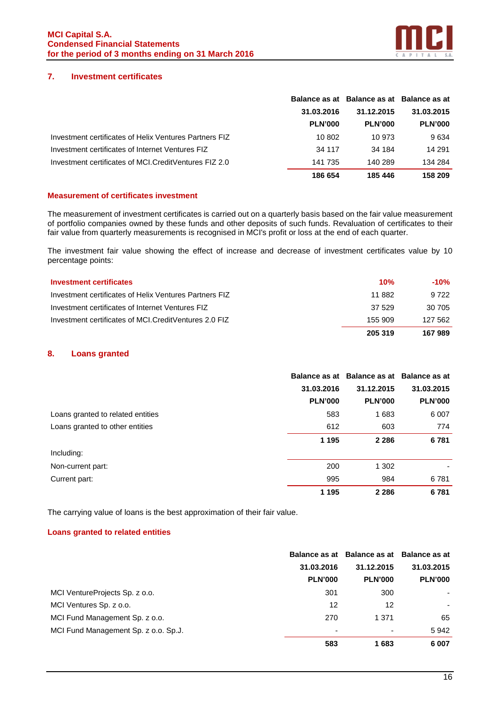

## **7. Investment certificates**

|                                                        |                | Balance as at Balance as at Balance as at |                |
|--------------------------------------------------------|----------------|-------------------------------------------|----------------|
|                                                        | 31.03.2016     | 31.12.2015                                | 31.03.2015     |
|                                                        | <b>PLN'000</b> | <b>PLN'000</b>                            | <b>PLN'000</b> |
| Investment certificates of Helix Ventures Partners FIZ | 10 802         | 10 973                                    | 9634           |
| Investment certificates of Internet Ventures FIZ       | 34 117         | 34 184                                    | 14 291         |
| Investment certificates of MCI.CreditVentures FIZ 2.0  | 141 735        | 140 289                                   | 134 284        |
|                                                        | 186 654        | 185 446                                   | 158 209        |

#### **Measurement of certificates investment**

The measurement of investment certificates is carried out on a quarterly basis based on the fair value measurement of portfolio companies owned by these funds and other deposits of such funds. Revaluation of certificates to their fair value from quarterly measurements is recognised in MCI's profit or loss at the end of each quarter.

The investment fair value showing the effect of increase and decrease of investment certificates value by 10 percentage points:

| <b>Investment certificates</b>                          | 10%     | -10%    |
|---------------------------------------------------------|---------|---------|
| Investment certificates of Helix Ventures Partners FIZ  | 11 882  | 9.722   |
| Investment certificates of Internet Ventures FIZ        | 37.529  | 30 705  |
| Investment certificates of MCI. Credit Ventures 2.0 FIZ | 155 909 | 127 562 |
|                                                         | 205 319 | 167 989 |

## **8. Loans granted**

|                                   |                | Balance as at Balance as at Balance as at |                |
|-----------------------------------|----------------|-------------------------------------------|----------------|
|                                   | 31.03.2016     | 31.12.2015                                | 31.03.2015     |
|                                   | <b>PLN'000</b> | <b>PLN'000</b>                            | <b>PLN'000</b> |
| Loans granted to related entities | 583            | 1683                                      | 6 0 0 7        |
| Loans granted to other entities   | 612            | 603                                       | 774            |
|                                   | 1 1 9 5        | 2 2 8 6                                   | 6781           |
| Including:                        |                |                                           |                |
| Non-current part:                 | 200            | 1 302                                     |                |
| Current part:                     | 995            | 984                                       | 6781           |
|                                   | 1 1 9 5        | 2 2 8 6                                   | 6781           |

The carrying value of loans is the best approximation of their fair value.

#### **Loans granted to related entities**

|                                      |                | Balance as at Balance as at Balance as at |                |
|--------------------------------------|----------------|-------------------------------------------|----------------|
|                                      | 31.03.2016     | 31.12.2015                                | 31.03.2015     |
|                                      | <b>PLN'000</b> | <b>PLN'000</b>                            | <b>PLN'000</b> |
| MCI VentureProjects Sp. z o.o.       | 301            | 300                                       | ٠              |
| MCI Ventures Sp. z o.o.              | 12             | 12                                        |                |
| MCI Fund Management Sp. z o.o.       | 270            | 1 371                                     | 65             |
| MCI Fund Management Sp. z o.o. Sp.J. | ٠              | ۰                                         | 5942           |
|                                      | 583            | 1683                                      | 6 0 0 7        |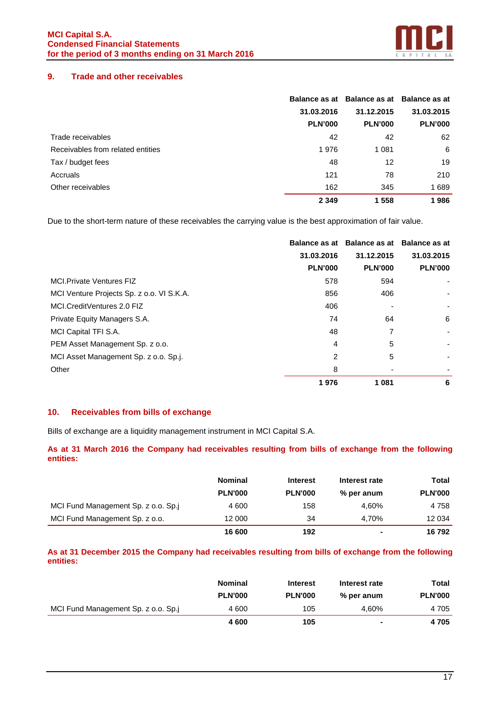

## **9. Trade and other receivables**

|                                   |                | Balance as at Balance as at Balance as at |                |
|-----------------------------------|----------------|-------------------------------------------|----------------|
|                                   | 31.03.2016     | 31.12.2015                                | 31.03.2015     |
|                                   | <b>PLN'000</b> | <b>PLN'000</b>                            | <b>PLN'000</b> |
| Trade receivables                 | 42             | 42                                        | 62             |
| Receivables from related entities | 1976           | 1 0 8 1                                   | 6              |
| Tax / budget fees                 | 48             | 12                                        | 19             |
| Accruals                          | 121            | 78                                        | 210            |
| Other receivables                 | 162            | 345                                       | 1689           |
|                                   | 2 3 4 9        | 1558                                      | 1986           |

Due to the short-term nature of these receivables the carrying value is the best approximation of fair value.

|                                           |                |                | Balance as at Balance as at Balance as at |
|-------------------------------------------|----------------|----------------|-------------------------------------------|
|                                           | 31.03.2016     | 31.12.2015     | 31.03.2015                                |
|                                           | <b>PLN'000</b> | <b>PLN'000</b> | <b>PLN'000</b>                            |
| <b>MCI.Private Ventures FIZ</b>           | 578            | 594            |                                           |
| MCI Venture Projects Sp. z o.o. VI S.K.A. | 856            | 406            |                                           |
| MCI.CreditVentures 2.0 FIZ                | 406            |                |                                           |
| Private Equity Managers S.A.              | 74             | 64             | 6                                         |
| MCI Capital TFI S.A.                      | 48             | 7              |                                           |
| PEM Asset Management Sp. z o.o.           | 4              | 5              |                                           |
| MCI Asset Management Sp. z o.o. Sp.j.     | 2              | 5              | ٠                                         |
| Other                                     | 8              |                |                                           |
|                                           | 1976           | 1 0 8 1        | 6                                         |

## **10. Receivables from bills of exchange**

Bills of exchange are a liquidity management instrument in MCI Capital S.A.

## **As at 31 March 2016 the Company had receivables resulting from bills of exchange from the following entities:**

|                                     | <b>Nominal</b> | <b>Interest</b> | Interest rate  | Total          |
|-------------------------------------|----------------|-----------------|----------------|----------------|
|                                     | <b>PLN'000</b> | <b>PLN'000</b>  | % per anum     | <b>PLN'000</b> |
| MCI Fund Management Sp. z o.o. Sp.j | 4 600          | 158             | 4.60%          | 4 7 5 8        |
| MCI Fund Management Sp. z o.o.      | 12 000         | 34              | 4.70%          | 12 034         |
|                                     | 16 600         | 192             | $\blacksquare$ | 16792          |

## **As at 31 December 2015 the Company had receivables resulting from bills of exchange from the following entities:**

|                                     | <b>Nominal</b> | <b>Interest</b> | Interest rate  | Total          |
|-------------------------------------|----------------|-----------------|----------------|----------------|
|                                     | <b>PLN'000</b> | <b>PLN'000</b>  | % per anum     | <b>PLN'000</b> |
| MCI Fund Management Sp. z o.o. Sp.j | 4 600          | 105             | 4.60%          | 4 705          |
|                                     | 4 600          | 105             | $\blacksquare$ | 4705           |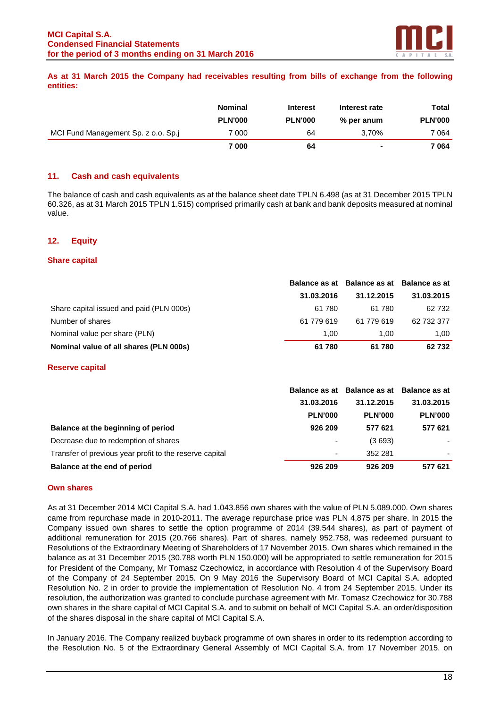

## **As at 31 March 2015 the Company had receivables resulting from bills of exchange from the following entities:**

|                                     | <b>Nominal</b>          | <b>Interest</b>      | Interest rate       | Total                   |
|-------------------------------------|-------------------------|----------------------|---------------------|-------------------------|
| MCI Fund Management Sp. z o.o. Sp.j | <b>PLN'000</b><br>7 000 | <b>PLN'000</b><br>64 | % per anum<br>3.70% | <b>PLN'000</b><br>7 064 |
|                                     | 7 000                   | 64                   | $\blacksquare$      | 7 064                   |

## **11. Cash and cash equivalents**

The balance of cash and cash equivalents as at the balance sheet date TPLN 6.498 (as at 31 December 2015 TPLN 60.326, as at 31 March 2015 TPLN 1.515) comprised primarily cash at bank and bank deposits measured at nominal value.

## **12. Equity**

#### **Share capital**

|                                          |            |            | Balance as at Balance as at Balance as at |  |
|------------------------------------------|------------|------------|-------------------------------------------|--|
|                                          | 31.03.2016 | 31.12.2015 | 31.03.2015                                |  |
| Share capital issued and paid (PLN 000s) | 61 780     | 61 780     | 62 732                                    |  |
| Number of shares                         | 61 779 619 | 61 779 619 | 62 732 377                                |  |
| Nominal value per share (PLN)            | 1.00       | 1.00       | 1.00                                      |  |
| Nominal value of all shares (PLN 000s)   | 61780      | 61 780     | 62 732                                    |  |

#### **Reserve capital**

|                                                         |                | Balance as at Balance as at Balance as at |                |
|---------------------------------------------------------|----------------|-------------------------------------------|----------------|
|                                                         | 31.03.2016     | 31.12.2015                                | 31.03.2015     |
|                                                         | <b>PLN'000</b> | <b>PLN'000</b>                            | <b>PLN'000</b> |
| Balance at the beginning of period                      | 926 209        | 577 621                                   | 577 621        |
| Decrease due to redemption of shares                    | ٠              | (3693)                                    |                |
| Transfer of previous year profit to the reserve capital |                | 352 281                                   |                |
| Balance at the end of period                            | 926 209        | 926 209                                   | 577 621        |

#### **Own shares**

As at 31 December 2014 MCI Capital S.A. had 1.043.856 own shares with the value of PLN 5.089.000. Own shares came from repurchase made in 2010-2011. The average repurchase price was PLN 4,875 per share. In 2015 the Company issued own shares to settle the option programme of 2014 (39.544 shares), as part of payment of additional remuneration for 2015 (20.766 shares). Part of shares, namely 952.758, was redeemed pursuant to Resolutions of the Extraordinary Meeting of Shareholders of 17 November 2015. Own shares which remained in the balance as at 31 December 2015 (30.788 worth PLN 150.000) will be appropriated to settle remuneration for 2015 for President of the Company, Mr Tomasz Czechowicz, in accordance with Resolution 4 of the Supervisory Board of the Company of 24 September 2015. On 9 May 2016 the Supervisory Board of MCI Capital S.A. adopted Resolution No. 2 in order to provide the implementation of Resolution No. 4 from 24 September 2015. Under its resolution, the authorization was granted to conclude purchase agreement with Mr. Tomasz Czechowicz for 30.788 own shares in the share capital of MCI Capital S.A. and to submit on behalf of MCI Capital S.A. an order/disposition of the shares disposal in the share capital of MCI Capital S.A.

In January 2016. The Company realized buyback programme of own shares in order to its redemption according to the Resolution No. 5 of the Extraordinary General Assembly of MCI Capital S.A. from 17 November 2015. on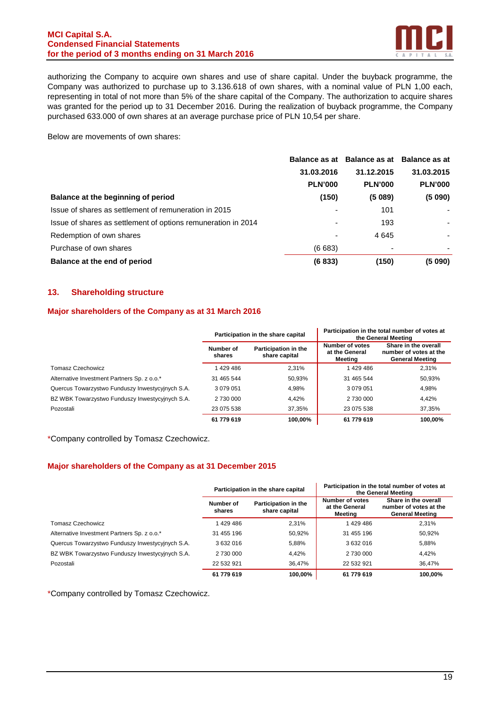### **MCI Capital S.A. Condensed Financial Statements for the period of 3 months ending on 31 March 2016**



authorizing the Company to acquire own shares and use of share capital. Under the buyback programme, the Company was authorized to purchase up to 3.136.618 of own shares, with a nominal value of PLN 1,00 each, representing in total of not more than 5% of the share capital of the Company. The authorization to acquire shares was granted for the period up to 31 December 2016. During the realization of buyback programme, the Company purchased 633.000 of own shares at an average purchase price of PLN 10,54 per share.

Below are movements of own shares:

|                                                               |                | Balance as at Balance as at Balance as at |                |
|---------------------------------------------------------------|----------------|-------------------------------------------|----------------|
|                                                               | 31.03.2016     | 31.12.2015                                | 31.03.2015     |
|                                                               | <b>PLN'000</b> | <b>PLN'000</b>                            | <b>PLN'000</b> |
| Balance at the beginning of period                            | (150)          | (5089)                                    | (5 090)        |
| Issue of shares as settlement of remuneration in 2015         | ٠              | 101                                       |                |
| Issue of shares as settlement of options remuneration in 2014 | ٠              | 193                                       | ۰              |
| Redemption of own shares                                      |                | 4645                                      | ٠              |
| Purchase of own shares                                        | (6683)         | $\overline{\phantom{0}}$                  | $\blacksquare$ |
| Balance at the end of period                                  | (6833)         | (150)                                     | (5090)         |

## **13. Shareholding structure**

#### **Major shareholders of the Company as at 31 March 2016**

|                                                  |                     | Participation in the share capital    |                                              | Participation in the total number of votes at<br>the General Meeting     |
|--------------------------------------------------|---------------------|---------------------------------------|----------------------------------------------|--------------------------------------------------------------------------|
|                                                  | Number of<br>shares | Participation in the<br>share capital | Number of votes<br>at the General<br>Meetina | Share in the overall<br>number of votes at the<br><b>General Meeting</b> |
| Tomasz Czechowicz                                | 1429486             | 2,31%                                 | 1429486                                      | 2,31%                                                                    |
| Alternative Investment Partners Sp. z o.o.*      | 31 465 544          | 50,93%                                | 31 465 544                                   | 50,93%                                                                   |
| Quercus Towarzystwo Funduszy Inwestycyjnych S.A. | 3 0 7 9 0 5 1       | 4,98%                                 | 3 0 7 9 0 5 1                                | 4,98%                                                                    |
| BZ WBK Towarzystwo Funduszy Inwestycyjnych S.A.  | 2 730 000           | 4,42%                                 | 2 730 000                                    | 4.42%                                                                    |
| Pozostali                                        | 23 075 538          | 37,35%                                | 23 075 538                                   | 37,35%                                                                   |
|                                                  | 61 779 619          | 100.00%                               | 61 779 619                                   | 100.00%                                                                  |

\*Company controlled by Tomasz Czechowicz.

## **Major shareholders of the Company as at 31 December 2015**

|                                                  | Participation in the share capital |                                       |                                              | Participation in the total number of votes at<br>the General Meeting     |
|--------------------------------------------------|------------------------------------|---------------------------------------|----------------------------------------------|--------------------------------------------------------------------------|
|                                                  | Number of<br>shares                | Participation in the<br>share capital | Number of votes<br>at the General<br>Meeting | Share in the overall<br>number of votes at the<br><b>General Meeting</b> |
| Tomasz Czechowicz                                | 1429486                            | 2.31%                                 | 1429486                                      | 2.31%                                                                    |
| Alternative Investment Partners Sp. z o.o.*      | 31 455 196                         | 50,92%                                | 31 455 196                                   | 50,92%                                                                   |
| Quercus Towarzystwo Funduszy Inwestycyjnych S.A. | 3632016                            | 5,88%                                 | 3632016                                      | 5,88%                                                                    |
| BZ WBK Towarzystwo Funduszy Inwestycyjnych S.A.  | 2 730 000                          | 4,42%                                 | 2 730 000                                    | 4,42%                                                                    |
| Pozostali                                        | 22 532 921                         | 36,47%                                | 22 532 921                                   | 36,47%                                                                   |
|                                                  | 61 779 619                         | 100.00%                               | 61 779 619                                   | 100.00%                                                                  |

\*Company controlled by Tomasz Czechowicz.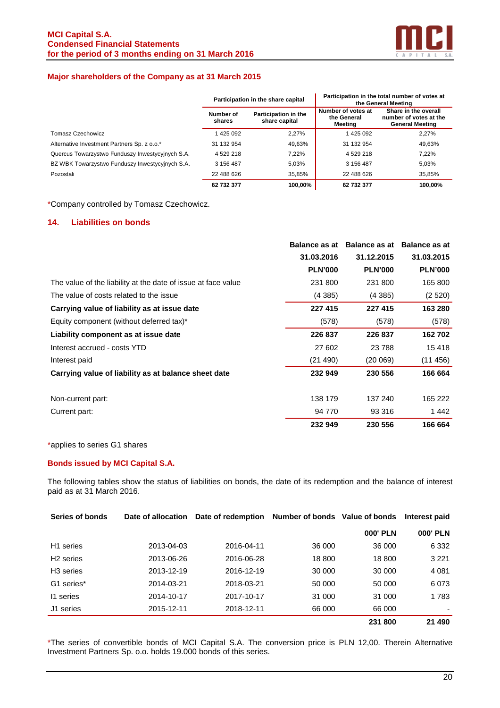

## **Major shareholders of the Company as at 31 March 2015**

|                                                  | Participation in the share capital |                                       |                                              | Participation in the total number of votes at<br>the General Meeting     |
|--------------------------------------------------|------------------------------------|---------------------------------------|----------------------------------------------|--------------------------------------------------------------------------|
|                                                  | Number of<br>shares                | Participation in the<br>share capital | Number of votes at<br>the General<br>Meetina | Share in the overall<br>number of votes at the<br><b>General Meeting</b> |
| Tomasz Czechowicz                                | 1425 092                           | 2,27%                                 | 1425 092                                     | 2.27%                                                                    |
| Alternative Investment Partners Sp. z o.o.*      | 31 132 954                         | 49,63%                                | 31 132 954                                   | 49,63%                                                                   |
| Quercus Towarzystwo Funduszy Inwestycyjnych S.A. | 4529218                            | 7,22%                                 | 4529218                                      | 7.22%                                                                    |
| BZ WBK Towarzystwo Funduszy Inwestycyjnych S.A.  | 3 156 487                          | 5,03%                                 | 3 156 487                                    | 5,03%                                                                    |
| Pozostali                                        | 22 488 626                         | 35,85%                                | 22 488 626                                   | 35,85%                                                                   |
|                                                  | 62 732 377                         | 100.00%                               | 62 732 377                                   | 100.00%                                                                  |

\*Company controlled by Tomasz Czechowicz.

#### **14. Liabilities on bonds**

|                                                               |                | Balance as at Balance as at Balance as at |                |
|---------------------------------------------------------------|----------------|-------------------------------------------|----------------|
|                                                               | 31.03.2016     | 31.12.2015                                | 31.03.2015     |
|                                                               | <b>PLN'000</b> | <b>PLN'000</b>                            | <b>PLN'000</b> |
| The value of the liability at the date of issue at face value | 231 800        | 231 800                                   | 165 800        |
| The value of costs related to the issue                       | (4385)         | (4385)                                    | (2520)         |
| Carrying value of liability as at issue date                  | 227 415        | 227 415                                   | 163 280        |
| Equity component (without deferred tax)*                      | (578)          | (578)                                     | (578)          |
| Liability component as at issue date                          | 226 837        | 226 837                                   | 162 702        |
| Interest accrued - costs YTD                                  | 27 602         | 23 788                                    | 15 418         |
| Interest paid                                                 | (21 490)       | (20069)                                   | (11456)        |
| Carrying value of liability as at balance sheet date          | 232 949        | 230 556                                   | 166 664        |
| Non-current part:                                             | 138 179        | 137 240                                   | 165 222        |
| Current part:                                                 | 94 770         | 93 316                                    | 1442           |
|                                                               | 232 949        | 230 556                                   | 166 664        |

\*applies to series G1 shares

#### **Bonds issued by MCI Capital S.A.**

The following tables show the status of liabilities on bonds, the date of its redemption and the balance of interest paid as at 31 March 2016.

| Series of bonds       | Date of allocation | Date of redemption Number of bonds Value of bonds |        |                 | Interest paid   |
|-----------------------|--------------------|---------------------------------------------------|--------|-----------------|-----------------|
|                       |                    |                                                   |        | <b>000' PLN</b> | <b>000' PLN</b> |
| H <sub>1</sub> series | 2013-04-03         | 2016-04-11                                        | 36 000 | 36 000          | 6 3 3 2         |
| H <sub>2</sub> series | 2013-06-26         | 2016-06-28                                        | 18 800 | 18 800          | 3 2 2 1         |
| H <sub>3</sub> series | 2013-12-19         | 2016-12-19                                        | 30 000 | 30 000          | 4 0 8 1         |
| G1 series*            | 2014-03-21         | 2018-03-21                                        | 50 000 | 50 000          | 6073            |
| 11 series             | 2014-10-17         | 2017-10-17                                        | 31 000 | 31 000          | 1783            |
| J1 series             | 2015-12-11         | 2018-12-11                                        | 66 000 | 66 000          |                 |
|                       |                    |                                                   |        | 231 800         | 21 490          |

\*The series of convertible bonds of MCI Capital S.A. The conversion price is PLN 12,00. Therein Alternative Investment Partners Sp. o.o. holds 19.000 bonds of this series.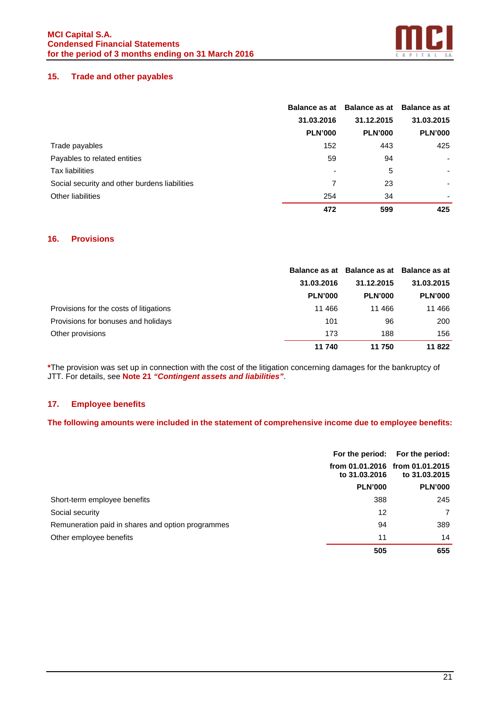

## **15. Trade and other payables**

|                                               |                | Balance as at Balance as at Balance as at |                |
|-----------------------------------------------|----------------|-------------------------------------------|----------------|
|                                               | 31.03.2016     | 31.12.2015                                | 31.03.2015     |
|                                               | <b>PLN'000</b> | <b>PLN'000</b>                            | <b>PLN'000</b> |
| Trade payables                                | 152            | 443                                       | 425            |
| Payables to related entities                  | 59             | 94                                        |                |
| <b>Tax liabilities</b>                        |                | 5                                         |                |
| Social security and other burdens liabilities | 7              | 23                                        | ۰              |
| Other liabilities                             | 254            | 34                                        |                |
|                                               | 472            | 599                                       | 425            |

## **16. Provisions**

|                                         |                | Balance as at Balance as at Balance as at |                |
|-----------------------------------------|----------------|-------------------------------------------|----------------|
|                                         | 31.03.2016     | 31.12.2015                                | 31.03.2015     |
|                                         | <b>PLN'000</b> | <b>PLN'000</b>                            | <b>PLN'000</b> |
| Provisions for the costs of litigations | 11 466         | 11 466                                    | 11 466         |
| Provisions for bonuses and holidays     | 101            | 96                                        | 200            |
| Other provisions                        | 173            | 188                                       | 156            |
|                                         | 11 740         | 11 750                                    | 11 822         |

**\***The provision was set up in connection with the cost of the litigation concerning damages for the bankruptcy of JTT. For details, see **Note 21 "Contingent assets and liabilities"**.

## **17. Employee benefits**

## **The following amounts were included in the statement of comprehensive income due to employee benefits:**

|                                                   |                | For the period: For the period:                  |  |
|---------------------------------------------------|----------------|--------------------------------------------------|--|
|                                                   | to 31,03,2016  | from 01.01.2016 from 01.01.2015<br>to 31,03,2015 |  |
|                                                   | <b>PLN'000</b> | <b>PLN'000</b>                                   |  |
| Short-term employee benefits                      | 388            | 245                                              |  |
| Social security                                   | 12             | $\overline{7}$                                   |  |
| Remuneration paid in shares and option programmes | 94             | 389                                              |  |
| Other employee benefits                           | 11             | 14                                               |  |
|                                                   | 505            | 655                                              |  |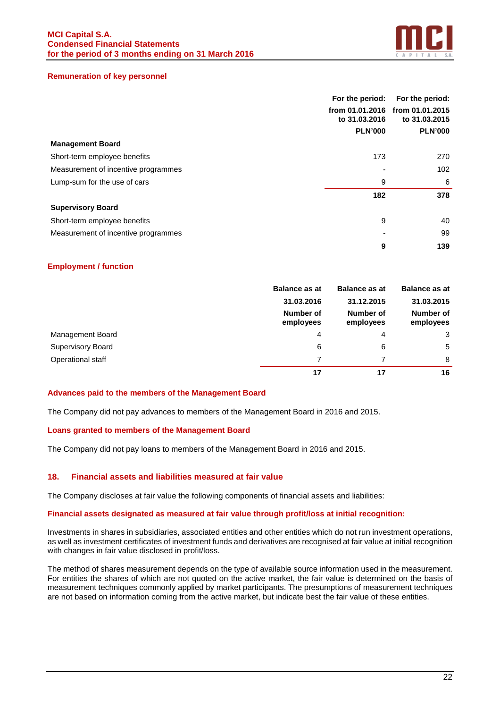

#### **Remuneration of key personnel**

|                                     | For the period:                  | For the period:                  |
|-------------------------------------|----------------------------------|----------------------------------|
|                                     | from 01.01.2016<br>to 31.03.2016 | from 01.01.2015<br>to 31.03.2015 |
|                                     | <b>PLN'000</b>                   | <b>PLN'000</b>                   |
| <b>Management Board</b>             |                                  |                                  |
| Short-term employee benefits        | 173                              | 270                              |
| Measurement of incentive programmes |                                  | 102                              |
| Lump-sum for the use of cars        | 9                                | 6                                |
|                                     | 182                              | 378                              |
| <b>Supervisory Board</b>            |                                  |                                  |
| Short-term employee benefits        | 9                                | 40                               |
| Measurement of incentive programmes |                                  | 99                               |
|                                     | 9                                | 139                              |

#### **Employment / function**

|                          | <b>Balance as at</b>                             | <b>Balance as at</b> |                        |  | <b>Balance as at</b> |  |
|--------------------------|--------------------------------------------------|----------------------|------------------------|--|----------------------|--|
|                          | 31.03.2016                                       | 31.12.2015           | 31.03.2015             |  |                      |  |
|                          | Number of<br>Number of<br>employees<br>employees |                      | Number of<br>employees |  |                      |  |
| Management Board         | 4                                                | 4                    | 3                      |  |                      |  |
| <b>Supervisory Board</b> | 6                                                | 6                    | 5                      |  |                      |  |
| Operational staff        |                                                  |                      | 8                      |  |                      |  |
|                          | 17                                               | 17                   | 16                     |  |                      |  |

#### **Advances paid to the members of the Management Board**

The Company did not pay advances to members of the Management Board in 2016 and 2015.

#### **Loans granted to members of the Management Board**

The Company did not pay loans to members of the Management Board in 2016 and 2015.

#### **18. Financial assets and liabilities measured at fair value**

The Company discloses at fair value the following components of financial assets and liabilities:

#### **Financial assets designated as measured at fair value through profit/loss at initial recognition:**

Investments in shares in subsidiaries, associated entities and other entities which do not run investment operations, as well as investment certificates of investment funds and derivatives are recognised at fair value at initial recognition with changes in fair value disclosed in profit/loss.

The method of shares measurement depends on the type of available source information used in the measurement. For entities the shares of which are not quoted on the active market, the fair value is determined on the basis of measurement techniques commonly applied by market participants. The presumptions of measurement techniques are not based on information coming from the active market, but indicate best the fair value of these entities.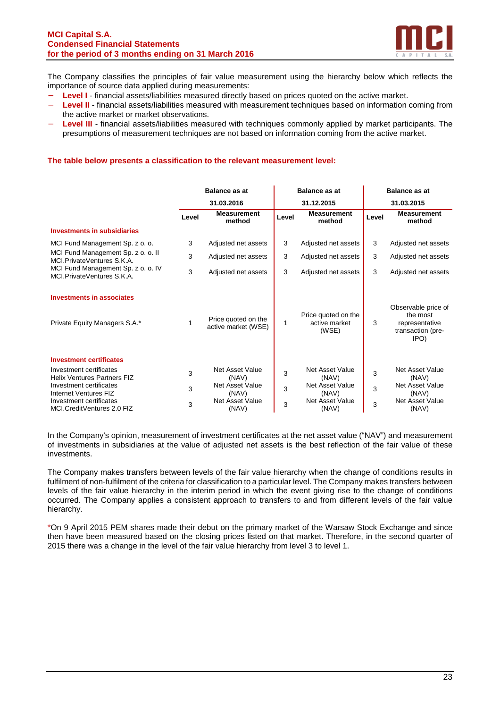

The Company classifies the principles of fair value measurement using the hierarchy below which reflects the importance of source data applied during measurements:

- − **Level I** financial assets/liabilities measured directly based on prices quoted on the active market.
- Level II financial assets/liabilities measured with measurement techniques based on information coming from the active market or market observations.
- **Level III** financial assets/liabilities measured with techniques commonly applied by market participants. The presumptions of measurement techniques are not based on information coming from the active market.

#### **The table below presents a classification to the relevant measurement level:**

|                                                                    | <b>Balance as at</b> |                                            | <b>Balance as at</b> |                                               | <b>Balance as at</b> |                                                                                |
|--------------------------------------------------------------------|----------------------|--------------------------------------------|----------------------|-----------------------------------------------|----------------------|--------------------------------------------------------------------------------|
|                                                                    |                      | 31.03.2016                                 |                      | 31.12.2015                                    |                      | 31.03.2015                                                                     |
|                                                                    | Level                | <b>Measurement</b><br>method               | Level                | <b>Measurement</b><br>method                  | Level                | <b>Measurement</b><br>method                                                   |
| <b>Investments in subsidiaries</b>                                 |                      |                                            |                      |                                               |                      |                                                                                |
| MCI Fund Management Sp. z o. o.                                    | 3                    | Adjusted net assets                        | 3                    | Adjusted net assets                           | 3                    | Adjusted net assets                                                            |
| MCI Fund Management Sp. z o. o. II<br>MCL Private Ventures S.K.A.  | 3                    | Adjusted net assets                        | 3                    | Adjusted net assets                           | 3                    | Adjusted net assets                                                            |
| MCI Fund Management Sp. z o. o. IV<br>MCI. Private Ventures S.K.A. | 3                    | Adjusted net assets                        | 3                    | Adjusted net assets                           | 3                    | Adjusted net assets                                                            |
| <b>Investments in associates</b><br>Private Equity Managers S.A.*  |                      | Price quoted on the<br>active market (WSE) | 1                    | Price quoted on the<br>active market<br>(WSE) | 3                    | Observable price of<br>the most<br>representative<br>transaction (pre-<br>IPO) |
| <b>Investment certificates</b>                                     |                      |                                            |                      |                                               |                      |                                                                                |
| Investment certificates<br><b>Helix Ventures Partners FIZ</b>      | 3                    | Net Asset Value<br>(NAV)                   | 3                    | Net Asset Value<br>(NAV)                      | 3                    | <b>Net Asset Value</b><br>(NAV)                                                |
| Investment certificates<br>Internet Ventures FIZ                   | 3                    | Net Asset Value<br>(NAV)                   | 3                    | Net Asset Value<br>(NAV)                      | 3                    | <b>Net Asset Value</b><br>(NAV)                                                |
| Investment certificates<br>MCI.CreditVentures 2.0 FIZ              | 3                    | Net Asset Value<br>(NAV)                   | 3                    | Net Asset Value<br>(NAV)                      | 3                    | <b>Net Asset Value</b><br>(NAV)                                                |

In the Company's opinion, measurement of investment certificates at the net asset value ("NAV") and measurement of investments in subsidiaries at the value of adjusted net assets is the best reflection of the fair value of these investments.

The Company makes transfers between levels of the fair value hierarchy when the change of conditions results in fulfilment of non-fulfilment of the criteria for classification to a particular level. The Company makes transfers between levels of the fair value hierarchy in the interim period in which the event giving rise to the change of conditions occurred. The Company applies a consistent approach to transfers to and from different levels of the fair value hierarchy.

\*On 9 April 2015 PEM shares made their debut on the primary market of the Warsaw Stock Exchange and since then have been measured based on the closing prices listed on that market. Therefore, in the second quarter of 2015 there was a change in the level of the fair value hierarchy from level 3 to level 1.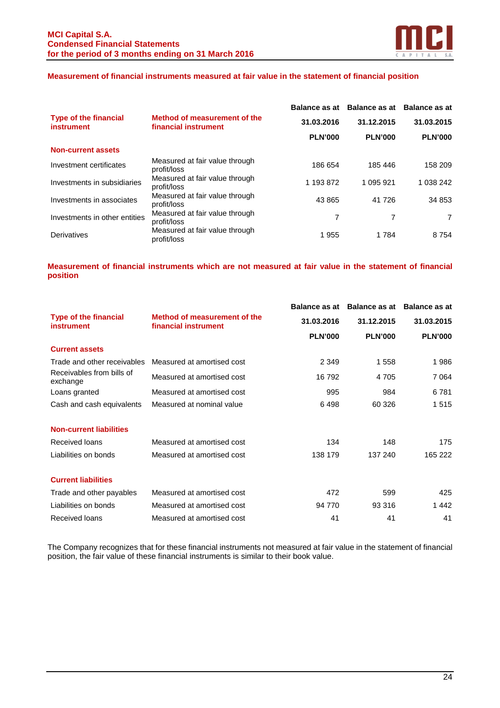

## **Measurement of financial instruments measured at fair value in the statement of financial position**

|                                                   |                                                      | <b>Balance as at</b> | Balance as at Balance as at |                |
|---------------------------------------------------|------------------------------------------------------|----------------------|-----------------------------|----------------|
| <b>Type of the financial</b><br><b>instrument</b> | Method of measurement of the<br>financial instrument | 31.03.2016           | 31.12.2015                  | 31.03.2015     |
|                                                   |                                                      | <b>PLN'000</b>       | <b>PLN'000</b>              | <b>PLN'000</b> |
| <b>Non-current assets</b>                         |                                                      |                      |                             |                |
| Investment certificates                           | Measured at fair value through<br>profit/loss        | 186 654              | 185 446                     | 158 209        |
| Investments in subsidiaries                       | Measured at fair value through<br>profit/loss        | 1 193 872            | 1 095 921                   | 1 038 242      |
| Investments in associates                         | Measured at fair value through<br>profit/loss        | 43 865               | 41 726                      | 34 853         |
| Investments in other entities                     | Measured at fair value through<br>profit/loss        | 7                    | 7                           | 7              |
| Derivatives                                       | Measured at fair value through<br>profit/loss        | 1955                 | 1784                        | 8 7 5 4        |

**Measurement of financial instruments which are not measured at fair value in the statement of financial position**

|                                                   |                                                      | <b>Balance as at</b> | Balance as at  | <b>Balance as at</b> |
|---------------------------------------------------|------------------------------------------------------|----------------------|----------------|----------------------|
| <b>Type of the financial</b><br><b>instrument</b> | Method of measurement of the<br>financial instrument | 31.03.2016           | 31.12.2015     | 31.03.2015           |
|                                                   |                                                      | <b>PLN'000</b>       | <b>PLN'000</b> | <b>PLN'000</b>       |
| <b>Current assets</b>                             |                                                      |                      |                |                      |
| Trade and other receivables                       | Measured at amortised cost                           | 2 3 4 9              | 1558           | 1986                 |
| Receivables from bills of<br>exchange             | Measured at amortised cost                           | 16 792               | 4 7 0 5        | 7 0 64               |
| Loans granted                                     | Measured at amortised cost                           | 995                  | 984            | 6781                 |
| Cash and cash equivalents                         | Measured at nominal value                            | 6498                 | 60 326         | 1515                 |
| <b>Non-current liabilities</b>                    |                                                      |                      |                |                      |
| Received loans                                    | Measured at amortised cost                           | 134                  | 148            | 175                  |
| Liabilities on bonds                              | Measured at amortised cost                           | 138 179              | 137 240        | 165 222              |
| <b>Current liabilities</b>                        |                                                      |                      |                |                      |
| Trade and other payables                          | Measured at amortised cost                           | 472                  | 599            | 425                  |
| Liabilities on bonds                              | Measured at amortised cost                           | 94 770               | 93 316         | 1442                 |
| Received loans                                    | Measured at amortised cost                           | 41                   | 41             | 41                   |

The Company recognizes that for these financial instruments not measured at fair value in the statement of financial position, the fair value of these financial instruments is similar to their book value.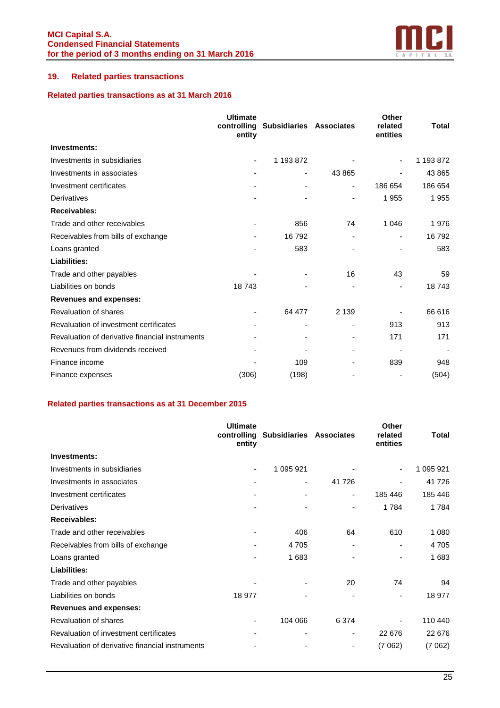

## **19. Related parties transactions**

## **Related parties transactions as at 31 March 2016**

|                                                 | <b>Ultimate</b><br>controlling<br>entity | <b>Subsidiaries Associates</b> |                              | Other<br>related<br>entities | Total     |
|-------------------------------------------------|------------------------------------------|--------------------------------|------------------------------|------------------------------|-----------|
| Investments:                                    |                                          |                                |                              |                              |           |
| Investments in subsidiaries                     | ٠                                        | 1 193 872                      |                              |                              | 1 193 872 |
| Investments in associates                       |                                          |                                | 43 865                       |                              | 43 865    |
| Investment certificates                         |                                          |                                | ۰                            | 186 654                      | 186 654   |
| <b>Derivatives</b>                              |                                          |                                | -                            | 1955                         | 1955      |
| <b>Receivables:</b>                             |                                          |                                |                              |                              |           |
| Trade and other receivables                     |                                          | 856                            | 74                           | 1 0 4 6                      | 1976      |
| Receivables from bills of exchange              |                                          | 16792                          | $\qquad \qquad \blacksquare$ |                              | 16 792    |
| Loans granted                                   |                                          | 583                            |                              |                              | 583       |
| Liabilities:                                    |                                          |                                |                              |                              |           |
| Trade and other payables                        |                                          |                                | 16                           | 43                           | 59        |
| Liabilities on bonds                            | 18743                                    |                                | $\overline{\phantom{0}}$     |                              | 18743     |
| <b>Revenues and expenses:</b>                   |                                          |                                |                              |                              |           |
| Revaluation of shares                           |                                          | 64 477                         | 2 1 3 9                      |                              | 66 616    |
| Revaluation of investment certificates          |                                          |                                |                              | 913                          | 913       |
| Revaluation of derivative financial instruments |                                          |                                |                              | 171                          | 171       |
| Revenues from dividends received                |                                          |                                |                              |                              |           |
| Finance income                                  |                                          | 109                            |                              | 839                          | 948       |
| Finance expenses                                | (306)                                    | (198)                          |                              |                              | (504)     |

## **Related parties transactions as at 31 December 2015**

|                                                 | <b>Ultimate</b><br>controlling<br>entity | Subsidiaries Associates |                          | <b>Other</b><br>related<br>entities | <b>Total</b> |
|-------------------------------------------------|------------------------------------------|-------------------------|--------------------------|-------------------------------------|--------------|
| Investments:                                    |                                          |                         |                          |                                     |              |
| Investments in subsidiaries                     | ۰                                        | 1 095 921               |                          | ٠                                   | 1 095 921    |
| Investments in associates                       |                                          |                         | 41 726                   |                                     | 41 726       |
| Investment certificates                         |                                          |                         | -                        | 185 446                             | 185 446      |
| Derivatives                                     |                                          |                         | -                        | 1784                                | 1784         |
| <b>Receivables:</b>                             |                                          |                         |                          |                                     |              |
| Trade and other receivables                     |                                          | 406                     | 64                       | 610                                 | 1 0 8 0      |
| Receivables from bills of exchange              |                                          | 4705                    | $\overline{\phantom{0}}$ |                                     | 4705         |
| Loans granted                                   |                                          | 1683                    |                          |                                     | 1683         |
| Liabilities:                                    |                                          |                         |                          |                                     |              |
| Trade and other payables                        |                                          |                         | 20                       | 74                                  | 94           |
| Liabilities on bonds                            | 18 977                                   |                         |                          | $\blacksquare$                      | 18 977       |
| <b>Revenues and expenses:</b>                   |                                          |                         |                          |                                     |              |
| Revaluation of shares                           |                                          | 104 066                 | 6 3 7 4                  |                                     | 110 440      |
| Revaluation of investment certificates          |                                          |                         | $\overline{\phantom{0}}$ | 22 676                              | 22 676       |
| Revaluation of derivative financial instruments |                                          |                         |                          | (7062)                              | (7062)       |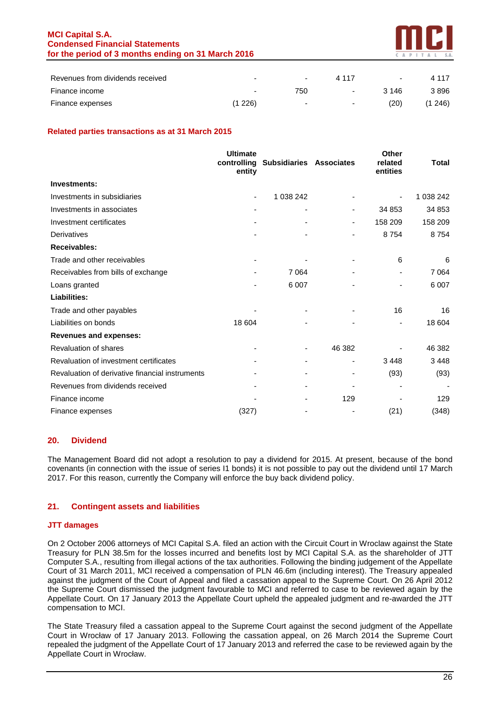## **MCI Capital S.A. Condensed Financial Statements for the period of 3 months ending on 31 March 2016**



| Revenues from dividends received |                          | $\overline{\phantom{0}}$ | 4 1 1 7 | ٠     | 4 1 1 7 |
|----------------------------------|--------------------------|--------------------------|---------|-------|---------|
| Finance income                   | $\overline{\phantom{0}}$ | 750                      | $\sim$  | 3 146 | 3896    |
| Finance expenses                 | (1 226)                  | $\sim$                   | $\sim$  | (20)  | (1 246) |

## **Related parties transactions as at 31 March 2015**

|                                                 | <b>Ultimate</b><br>controlling<br>entity | <b>Subsidiaries Associates</b> |                          | Other<br>related<br>entities | Total     |
|-------------------------------------------------|------------------------------------------|--------------------------------|--------------------------|------------------------------|-----------|
| Investments:                                    |                                          |                                |                          |                              |           |
| Investments in subsidiaries                     | ۰                                        | 1 038 242                      |                          |                              | 1 038 242 |
| Investments in associates                       |                                          |                                | -                        | 34 853                       | 34 853    |
| Investment certificates                         |                                          |                                | -                        | 158 209                      | 158 209   |
| Derivatives                                     |                                          |                                |                          | 8 7 5 4                      | 8754      |
| <b>Receivables:</b>                             |                                          |                                |                          |                              |           |
| Trade and other receivables                     |                                          |                                |                          | 6                            | 6         |
| Receivables from bills of exchange              |                                          | 7 0 64                         |                          | ٠                            | 7 0 64    |
| Loans granted                                   |                                          | 6 0 0 7                        |                          |                              | 6 0 0 7   |
| Liabilities:                                    |                                          |                                |                          |                              |           |
| Trade and other payables                        |                                          |                                |                          | 16                           | 16        |
| Liabilities on bonds                            | 18 604                                   |                                |                          | ÷                            | 18 604    |
| <b>Revenues and expenses:</b>                   |                                          |                                |                          |                              |           |
| Revaluation of shares                           |                                          |                                | 46 382                   |                              | 46 382    |
| Revaluation of investment certificates          |                                          |                                | ٠                        | 3 4 4 8                      | 3448      |
| Revaluation of derivative financial instruments |                                          |                                | $\overline{\phantom{0}}$ | (93)                         | (93)      |
| Revenues from dividends received                |                                          |                                |                          |                              |           |
| Finance income                                  |                                          |                                | 129                      |                              | 129       |
| Finance expenses                                | (327)                                    |                                |                          | (21)                         | (348)     |

#### **20. Dividend**

The Management Board did not adopt a resolution to pay a dividend for 2015. At present, because of the bond covenants (in connection with the issue of series I1 bonds) it is not possible to pay out the dividend until 17 March 2017. For this reason, currently the Company will enforce the buy back dividend policy.

## **21. Contingent assets and liabilities**

#### **JTT damages**

On 2 October 2006 attorneys of MCI Capital S.A. filed an action with the Circuit Court in Wroclaw against the State Treasury for PLN 38.5m for the losses incurred and benefits lost by MCI Capital S.A. as the shareholder of JTT Computer S.A., resulting from illegal actions of the tax authorities. Following the binding judgement of the Appellate Court of 31 March 2011, MCI received a compensation of PLN 46.6m (including interest). The Treasury appealed against the judgment of the Court of Appeal and filed a cassation appeal to the Supreme Court. On 26 April 2012 the Supreme Court dismissed the judgment favourable to MCI and referred to case to be reviewed again by the Appellate Court. On 17 January 2013 the Appellate Court upheld the appealed judgment and re-awarded the JTT compensation to MCI.

The State Treasury filed a cassation appeal to the Supreme Court against the second judgment of the Appellate Court in Wrocław of 17 January 2013. Following the cassation appeal, on 26 March 2014 the Supreme Court repealed the judgment of the Appellate Court of 17 January 2013 and referred the case to be reviewed again by the Appellate Court in Wrocław.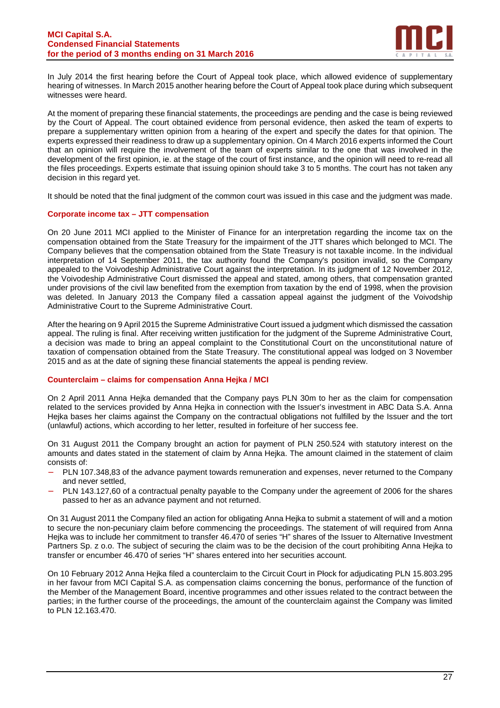#### **MCI Capital S.A. Condensed Financial Statements for the period of 3 months ending on 31 March 2016**



In July 2014 the first hearing before the Court of Appeal took place, which allowed evidence of supplementary hearing of witnesses. In March 2015 another hearing before the Court of Appeal took place during which subsequent witnesses were heard.

At the moment of preparing these financial statements, the proceedings are pending and the case is being reviewed by the Court of Appeal. The court obtained evidence from personal evidence, then asked the team of experts to prepare a supplementary written opinion from a hearing of the expert and specify the dates for that opinion. The experts expressed their readiness to draw up a supplementary opinion. On 4 March 2016 experts informed the Court that an opinion will require the involvement of the team of experts similar to the one that was involved in the development of the first opinion, ie. at the stage of the court of first instance, and the opinion will need to re-read all the files proceedings. Experts estimate that issuing opinion should take 3 to 5 months. The court has not taken any decision in this regard yet.

It should be noted that the final judgment of the common court was issued in this case and the judgment was made.

#### **Corporate income tax – JTT compensation**

On 20 June 2011 MCI applied to the Minister of Finance for an interpretation regarding the income tax on the compensation obtained from the State Treasury for the impairment of the JTT shares which belonged to MCI. The Company believes that the compensation obtained from the State Treasury is not taxable income. In the individual interpretation of 14 September 2011, the tax authority found the Company's position invalid, so the Company appealed to the Voivodeship Administrative Court against the interpretation. In its judgment of 12 November 2012, the Voivodeship Administrative Court dismissed the appeal and stated, among others, that compensation granted under provisions of the civil law benefited from the exemption from taxation by the end of 1998, when the provision was deleted. In January 2013 the Company filed a cassation appeal against the judgment of the Voivodship Administrative Court to the Supreme Administrative Court.

After the hearing on 9 April 2015 the Supreme Administrative Court issued a judgment which dismissed the cassation appeal. The ruling is final. After receiving written justification for the judgment of the Supreme Administrative Court, a decision was made to bring an appeal complaint to the Constitutional Court on the unconstitutional nature of taxation of compensation obtained from the State Treasury. The constitutional appeal was lodged on 3 November 2015 and as at the date of signing these financial statements the appeal is pending review.

#### **Counterclaim – claims for compensation Anna Hejka / MCI**

On 2 April 2011 Anna Hejka demanded that the Company pays PLN 30m to her as the claim for compensation related to the services provided by Anna Hejka in connection with the Issuer's investment in ABC Data S.A. Anna Hejka bases her claims against the Company on the contractual obligations not fulfilled by the Issuer and the tort (unlawful) actions, which according to her letter, resulted in forfeiture of her success fee.

On 31 August 2011 the Company brought an action for payment of PLN 250.524 with statutory interest on the amounts and dates stated in the statement of claim by Anna Hejka. The amount claimed in the statement of claim consists of:

- − PLN 107.348,83 of the advance payment towards remuneration and expenses, never returned to the Company and never settled,
- − PLN 143.127,60 of a contractual penalty payable to the Company under the agreement of 2006 for the shares passed to her as an advance payment and not returned.

On 31 August 2011 the Company filed an action for obligating Anna Hejka to submit a statement of will and a motion to secure the non-pecuniary claim before commencing the proceedings. The statement of will required from Anna Hejka was to include her commitment to transfer 46.470 of series "H" shares of the Issuer to Alternative Investment Partners Sp. z o.o. The subject of securing the claim was to be the decision of the court prohibiting Anna Hejka to transfer or encumber 46.470 of series "H" shares entered into her securities account.

On 10 February 2012 Anna Hejka filed a counterclaim to the Circuit Court in Płock for adjudicating PLN 15.803.295 in her favour from MCI Capital S.A. as compensation claims concerning the bonus, performance of the function of the Member of the Management Board, incentive programmes and other issues related to the contract between the parties; in the further course of the proceedings, the amount of the counterclaim against the Company was limited to PLN 12.163.470.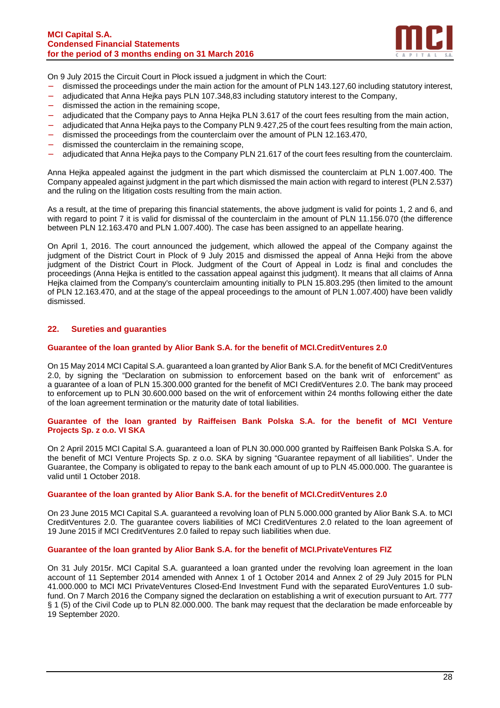

On 9 July 2015 the Circuit Court in Płock issued a judgment in which the Court:

- − dismissed the proceedings under the main action for the amount of PLN 143.127,60 including statutory interest,
- − adjudicated that Anna Hejka pays PLN 107.348,83 including statutory interest to the Company,
- dismissed the action in the remaining scope,
- adjudicated that the Company pays to Anna Hejka PLN 3.617 of the court fees resulting from the main action,
- adjudicated that Anna Heika pays to the Company PLN 9.427,25 of the court fees resulting from the main action,
- − dismissed the proceedings from the counterclaim over the amount of PLN 12.163.470,
- − dismissed the counterclaim in the remaining scope,
- adjudicated that Anna Hejka pays to the Company PLN 21.617 of the court fees resulting from the counterclaim.

Anna Hejka appealed against the judgment in the part which dismissed the counterclaim at PLN 1.007.400. The Company appealed against judgment in the part which dismissed the main action with regard to interest (PLN 2.537) and the ruling on the litigation costs resulting from the main action.

As a result, at the time of preparing this financial statements, the above judgment is valid for points 1, 2 and 6, and with regard to point 7 it is valid for dismissal of the counterclaim in the amount of PLN 11.156.070 (the difference between PLN 12.163.470 and PLN 1.007.400). The case has been assigned to an appellate hearing.

On April 1, 2016. The court announced the judgement, which allowed the appeal of the Company against the judgment of the District Court in Plock of 9 July 2015 and dismissed the appeal of Anna Hejki from the above judgment of the District Court in Plock. Judgment of the Court of Appeal in Lodz is final and concludes the proceedings (Anna Hejka is entitled to the cassation appeal against this judgment). It means that all claims of Anna Heika claimed from the Company's counterclaim amounting initially to PLN 15.803.295 (then limited to the amount of PLN 12.163.470, and at the stage of the appeal proceedings to the amount of PLN 1.007.400) have been validly dismissed.

## **22. Sureties and guaranties**

#### **Guarantee of the loan granted by Alior Bank S.A. for the benefit of MCI.CreditVentures 2.0**

On 15 May 2014 MCI Capital S.A. guaranteed a loan granted by Alior Bank S.A. for the benefit of MCI CreditVentures 2.0, by signing the "Declaration on submission to enforcement based on the bank writ of enforcement" as a guarantee of a loan of PLN 15.300.000 granted for the benefit of MCI CreditVentures 2.0. The bank may proceed to enforcement up to PLN 30.600.000 based on the writ of enforcement within 24 months following either the date of the loan agreement termination or the maturity date of total liabilities.

#### **Guarantee of the loan granted by Raiffeisen Bank Polska S.A. for the benefit of MCI Venture Projects Sp. z o.o. VI SKA**

On 2 April 2015 MCI Capital S.A. guaranteed a loan of PLN 30.000.000 granted by Raiffeisen Bank Polska S.A. for the benefit of MCI Venture Projects Sp. z o.o. SKA by signing "Guarantee repayment of all liabilities". Under the Guarantee, the Company is obligated to repay to the bank each amount of up to PLN 45.000.000. The guarantee is valid until 1 October 2018.

#### **Guarantee of the loan granted by Alior Bank S.A. for the benefit of MCI.CreditVentures 2.0**

On 23 June 2015 MCI Capital S.A. guaranteed a revolving loan of PLN 5.000.000 granted by Alior Bank S.A. to MCI CreditVentures 2.0. The guarantee covers liabilities of MCI CreditVentures 2.0 related to the loan agreement of 19 June 2015 if MCI CreditVentures 2.0 failed to repay such liabilities when due.

#### **Guarantee of the loan granted by Alior Bank S.A. for the benefit of MCI.PrivateVentures FIZ**

On 31 July 2015r. MCI Capital S.A. guaranteed a loan granted under the revolving loan agreement in the loan account of 11 September 2014 amended with Annex 1 of 1 October 2014 and Annex 2 of 29 July 2015 for PLN 41.000.000 to MCI MCI PrivateVentures Closed-End Investment Fund with the separated EuroVentures 1.0 subfund. On 7 March 2016 the Company signed the declaration on establishing a writ of execution pursuant to Art. 777 § 1 (5) of the Civil Code up to PLN 82.000.000. The bank may request that the declaration be made enforceable by 19 September 2020.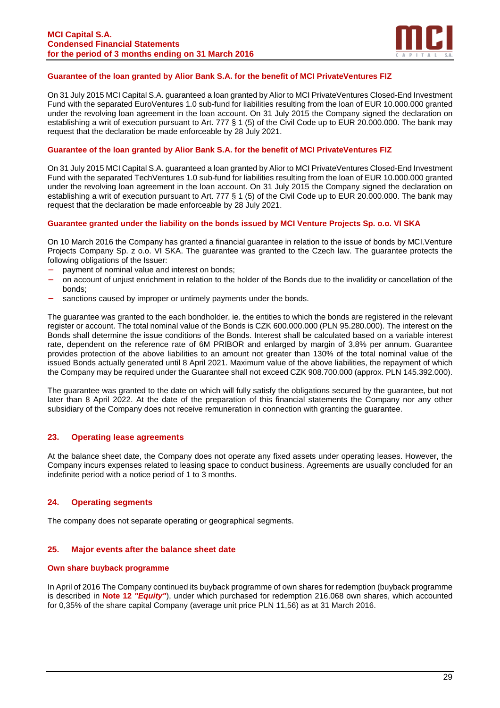

#### **Guarantee of the loan granted by Alior Bank S.A. for the benefit of MCI PrivateVentures FIZ**

On 31 July 2015 MCI Capital S.A. guaranteed a loan granted by Alior to MCI PrivateVentures Closed-End Investment Fund with the separated EuroVentures 1.0 sub-fund for liabilities resulting from the loan of EUR 10.000.000 granted under the revolving loan agreement in the loan account. On 31 July 2015 the Company signed the declaration on establishing a writ of execution pursuant to Art. 777 § 1 (5) of the Civil Code up to EUR 20.000.000. The bank may request that the declaration be made enforceable by 28 July 2021.

#### **Guarantee of the loan granted by Alior Bank S.A. for the benefit of MCI PrivateVentures FIZ**

On 31 July 2015 MCI Capital S.A. guaranteed a loan granted by Alior to MCI PrivateVentures Closed-End Investment Fund with the separated TechVentures 1.0 sub-fund for liabilities resulting from the loan of EUR 10.000.000 granted under the revolving loan agreement in the loan account. On 31 July 2015 the Company signed the declaration on establishing a writ of execution pursuant to Art. 777 § 1 (5) of the Civil Code up to EUR 20.000.000. The bank may request that the declaration be made enforceable by 28 July 2021.

#### **Guarantee granted under the liability on the bonds issued by MCI Venture Projects Sp. o.o. VI SKA**

On 10 March 2016 the Company has granted a financial guarantee in relation to the issue of bonds by MCI.Venture Projects Company Sp. z o.o. VI SKA. The guarantee was granted to the Czech law. The guarantee protects the following obligations of the Issuer:

- payment of nominal value and interest on bonds;
- − on account of unjust enrichment in relation to the holder of the Bonds due to the invalidity or cancellation of the bonds;
- sanctions caused by improper or untimely payments under the bonds.

The guarantee was granted to the each bondholder, ie. the entities to which the bonds are registered in the relevant register or account. The total nominal value of the Bonds is CZK 600.000.000 (PLN 95.280.000). The interest on the Bonds shall determine the issue conditions of the Bonds. Interest shall be calculated based on a variable interest rate, dependent on the reference rate of 6M PRIBOR and enlarged by margin of 3,8% per annum. Guarantee provides protection of the above liabilities to an amount not greater than 130% of the total nominal value of the issued Bonds actually generated until 8 April 2021. Maximum value of the above liabilities, the repayment of which the Company may be required under the Guarantee shall not exceed CZK 908.700.000 (approx. PLN 145.392.000).

The guarantee was granted to the date on which will fully satisfy the obligations secured by the guarantee, but not later than 8 April 2022. At the date of the preparation of this financial statements the Company nor any other subsidiary of the Company does not receive remuneration in connection with granting the guarantee.

#### **23. Operating lease agreements**

At the balance sheet date, the Company does not operate any fixed assets under operating leases. However, the Company incurs expenses related to leasing space to conduct business. Agreements are usually concluded for an indefinite period with a notice period of 1 to 3 months.

## **24. Operating segments**

The company does not separate operating or geographical segments.

#### **25. Major events after the balance sheet date**

#### **Own share buyback programme**

In April of 2016 The Company continued its buyback programme of own shares for redemption (buyback programme is described in **Note 12 "Equity"**), under which purchased for redemption 216.068 own shares, which accounted for 0,35% of the share capital Company (average unit price PLN 11,56) as at 31 March 2016.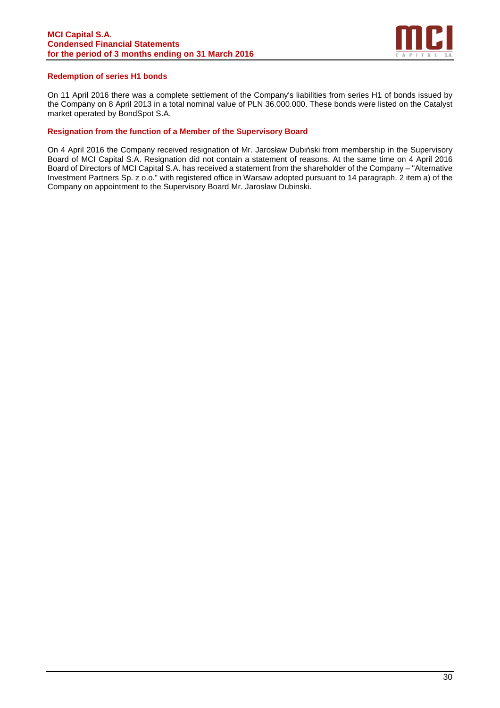

#### **Redemption of series H1 bonds**

On 11 April 2016 there was a complete settlement of the Company's liabilities from series H1 of bonds issued by the Company on 8 April 2013 in a total nominal value of PLN 36.000.000. These bonds were listed on the Catalyst market operated by BondSpot S.A.

#### **Resignation from the function of a Member of the Supervisory Board**

On 4 April 2016 the Company received resignation of Mr. Jarosław Dubiński from membership in the Supervisory Board of MCI Capital S.A. Resignation did not contain a statement of reasons. At the same time on 4 April 2016 Board of Directors of MCI Capital S.A. has received a statement from the shareholder of the Company – "Alternative Investment Partners Sp. z o.o." with registered office in Warsaw adopted pursuant to 14 paragraph. 2 item a) of the Company on appointment to the Supervisory Board Mr. Jarosław Dubinski.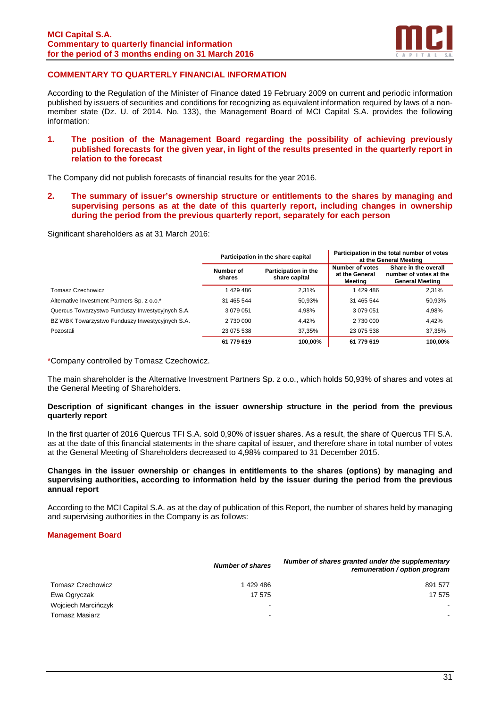

## **COMMENTARY TO QUARTERLY FINANCIAL INFORMATION**

According to the Regulation of the Minister of Finance dated 19 February 2009 on current and periodic information published by issuers of securities and conditions for recognizing as equivalent information required by laws of a nonmember state (Dz. U. of 2014. No. 133), the Management Board of MCI Capital S.A. provides the following information:

#### **1. The position of the Management Board regarding the possibility of achieving previously published forecasts for the given year, in light of the results presented in the quarterly report in relation to the forecast**

The Company did not publish forecasts of financial results for the year 2016.

**2. The summary of issuer's ownership structure or entitlements to the shares by managing and supervising persons as at the date of this quarterly report, including changes in ownership during the period from the previous quarterly report, separately for each person** 

Significant shareholders as at 31 March 2016:

|                                                  |                     | Participation in the share capital    | Participation in the total number of votes<br>at the General Meeting |                                                                          |  |
|--------------------------------------------------|---------------------|---------------------------------------|----------------------------------------------------------------------|--------------------------------------------------------------------------|--|
|                                                  | Number of<br>shares | Participation in the<br>share capital | Number of votes<br>at the General<br>Meeting                         | Share in the overall<br>number of votes at the<br><b>General Meeting</b> |  |
| Tomasz Czechowicz                                | 1429486             | 2,31%                                 | 1429486                                                              | 2,31%                                                                    |  |
| Alternative Investment Partners Sp. z o.o.*      | 31 465 544          | 50,93%                                | 31 465 544                                                           | 50,93%                                                                   |  |
| Quercus Towarzystwo Funduszy Inwestycyjnych S.A. | 3 079 051           | 4,98%                                 | 3 0 7 9 0 5 1                                                        | 4,98%                                                                    |  |
| BZ WBK Towarzystwo Funduszy Inwestycyjnych S.A.  | 2 730 000           | 4,42%                                 | 2 730 000                                                            | 4,42%                                                                    |  |
| Pozostali                                        | 23 075 538          | 37,35%                                | 23 075 538                                                           | 37,35%                                                                   |  |
|                                                  | 61 779 619          | 100,00%                               | 61 779 619                                                           | 100.00%                                                                  |  |

\*Company controlled by Tomasz Czechowicz.

The main shareholder is the Alternative Investment Partners Sp. z o.o., which holds 50,93% of shares and votes at the General Meeting of Shareholders.

#### **Description of significant changes in the issuer ownership structure in the period from the previous quarterly report**

In the first quarter of 2016 Quercus TFI S.A. sold 0,90% of issuer shares. As a result, the share of Quercus TFI S.A. as at the date of this financial statements in the share capital of issuer, and therefore share in total number of votes at the General Meeting of Shareholders decreased to 4,98% compared to 31 December 2015.

#### **Changes in the issuer ownership or changes in entitlements to the shares (options) by managing and supervising authorities, according to information held by the issuer during the period from the previous annual report**

According to the MCI Capital S.A. as at the day of publication of this Report, the number of shares held by managing and supervising authorities in the Company is as follows:

#### **Management Board**

|                          | <b>Number of shares</b> | Number of shares granted under the supplementary<br>remuneration / option program |
|--------------------------|-------------------------|-----------------------------------------------------------------------------------|
| <b>Tomasz Czechowicz</b> | 1 429 486               | 891 577                                                                           |
| Ewa Ogryczak             | 17 575                  | 17 575                                                                            |
| Wojciech Marcińczyk      | -                       |                                                                                   |
| <b>Tomasz Masiarz</b>    |                         | $\sim$                                                                            |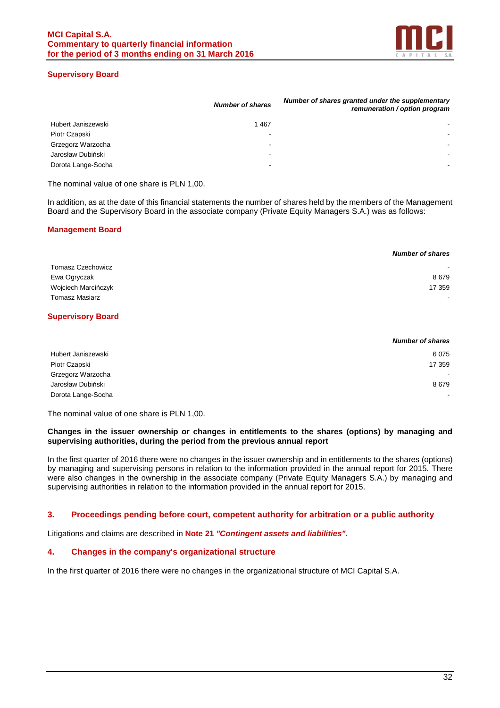

#### **Supervisory Board**

|                    | <b>Number of shares</b>  | Number of shares granted under the supplementary<br>remuneration / option program |
|--------------------|--------------------------|-----------------------------------------------------------------------------------|
| Hubert Janiszewski | 1467                     |                                                                                   |
| Piotr Czapski      |                          | $\overline{\phantom{0}}$                                                          |
| Grzegorz Warzocha  | $\overline{\phantom{0}}$ |                                                                                   |
| Jarosław Dubiński  | $\overline{\phantom{0}}$ | ۰.                                                                                |
| Dorota Lange-Socha | $\overline{\phantom{0}}$ |                                                                                   |
|                    |                          |                                                                                   |

The nominal value of one share is PLN 1,00.

In addition, as at the date of this financial statements the number of shares held by the members of the Management Board and the Supervisory Board in the associate company (Private Equity Managers S.A.) was as follows:

## **Management Board**

|                          | <b>Number of shares</b>  |
|--------------------------|--------------------------|
| <b>Tomasz Czechowicz</b> | $\blacksquare$           |
| Ewa Ogryczak             | 8679                     |
| Wojciech Marcińczyk      | 17 359                   |
| <b>Tomasz Masiarz</b>    | $\overline{\phantom{0}}$ |

## **Supervisory Board**

|                    | <b>Number of shares</b> |
|--------------------|-------------------------|
| Hubert Janiszewski | 6075                    |
| Piotr Czapski      | 17 359                  |
| Grzegorz Warzocha  |                         |
| Jarosław Dubiński  | 8679                    |
| Dorota Lange-Socha | ٠                       |

The nominal value of one share is PLN 1,00.

#### **Changes in the issuer ownership or changes in entitlements to the shares (options) by managing and supervising authorities, during the period from the previous annual report**

In the first quarter of 2016 there were no changes in the issuer ownership and in entitlements to the shares (options) by managing and supervising persons in relation to the information provided in the annual report for 2015. There were also changes in the ownership in the associate company (Private Equity Managers S.A.) by managing and supervising authorities in relation to the information provided in the annual report for 2015.

#### **3. Proceedings pending before court, competent authority for arbitration or a public authority**

Litigations and claims are described in **Note 21 "Contingent assets and liabilities"**.

## **4. Changes in the company's organizational structure**

In the first quarter of 2016 there were no changes in the organizational structure of MCI Capital S.A.